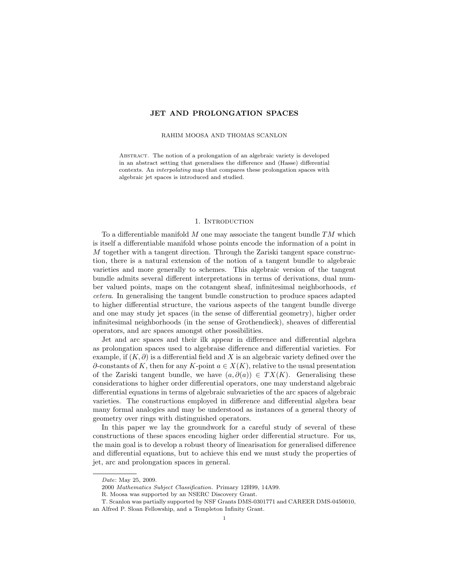# JET AND PROLONGATION SPACES

## RAHIM MOOSA AND THOMAS SCANLON

Abstract. The notion of a prolongation of an algebraic variety is developed in an abstract setting that generalises the difference and (Hasse) differential contexts. An interpolating map that compares these prolongation spaces with algebraic jet spaces is introduced and studied.

### 1. Introduction

To a differentiable manifold  $M$  one may associate the tangent bundle  $TM$  which is itself a differentiable manifold whose points encode the information of a point in M together with a tangent direction. Through the Zariski tangent space construction, there is a natural extension of the notion of a tangent bundle to algebraic varieties and more generally to schemes. This algebraic version of the tangent bundle admits several different interpretations in terms of derivations, dual number valued points, maps on the cotangent sheaf, infinitesimal neighborhoods, et cetera. In generalising the tangent bundle construction to produce spaces adapted to higher differential structure, the various aspects of the tangent bundle diverge and one may study jet spaces (in the sense of differential geometry), higher order infinitesimal neighborhoods (in the sense of Grothendieck), sheaves of differential operators, and arc spaces amongst other possibilities.

Jet and arc spaces and their ilk appear in difference and differential algebra as prolongation spaces used to algebraise difference and differential varieties. For example, if  $(K, \partial)$  is a differential field and X is an algebraic variety defined over the  $\partial$ -constants of K, then for any K-point  $a \in X(K)$ , relative to the usual presentation of the Zariski tangent bundle, we have  $(a, \partial(a)) \in TX(K)$ . Generalising these considerations to higher order differential operators, one may understand algebraic differential equations in terms of algebraic subvarieties of the arc spaces of algebraic varieties. The constructions employed in difference and differential algebra bear many formal analogies and may be understood as instances of a general theory of geometry over rings with distinguished operators.

In this paper we lay the groundwork for a careful study of several of these constructions of these spaces encoding higher order differential structure. For us, the main goal is to develop a robust theory of linearisation for generalised difference and differential equations, but to achieve this end we must study the properties of jet, arc and prolongation spaces in general.

Date: May 25, 2009.

<sup>2000</sup> Mathematics Subject Classification. Primary 12H99, 14A99.

R. Moosa was supported by an NSERC Discovery Grant.

T. Scanlon was partially supported by NSF Grants DMS-0301771 and CAREER DMS-0450010, an Alfred P. Sloan Fellowship, and a Templeton Infinity Grant.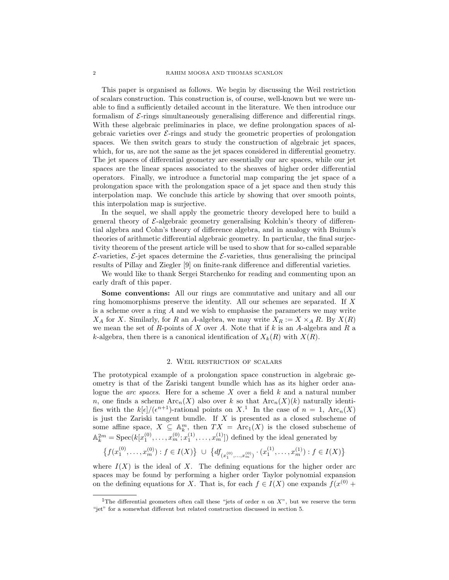This paper is organised as follows. We begin by discussing the Weil restriction of scalars construction. This construction is, of course, well-known but we were unable to find a sufficiently detailed account in the literature. We then introduce our formalism of  $\mathcal{E}\text{-rings simultaneously generalising difference and differential rings.}$ With these algebraic preliminaries in place, we define prolongation spaces of algebraic varieties over  $\mathcal{E}\text{-rings}$  and study the geometric properties of prolongation spaces. We then switch gears to study the construction of algebraic jet spaces, which, for us, are not the same as the jet spaces considered in differential geometry. The jet spaces of differential geometry are essentially our arc spaces, while our jet spaces are the linear spaces associated to the sheaves of higher order differential operators. Finally, we introduce a functorial map comparing the jet space of a prolongation space with the prolongation space of a jet space and then study this interpolation map. We conclude this article by showing that over smooth points, this interpolation map is surjective.

In the sequel, we shall apply the geometric theory developed here to build a general theory of  $\mathcal{E}$ -algebraic geometry generalising Kolchin's theory of differential algebra and Cohn's theory of difference algebra, and in analogy with Buium's theories of arithmetic differential algebraic geometry. In particular, the final surjectivity theorem of the present article will be used to show that for so-called separable  $\mathcal{E}\text{-varieties, }\mathcal{E}\text{-jet spaces determine the }\mathcal{E}\text{-varieties, thus generalising the principal$ results of Pillay and Ziegler [9] on finite-rank difference and differential varieties.

We would like to thank Sergei Starchenko for reading and commenting upon an early draft of this paper.

Some conventions: All our rings are commutative and unitary and all our ring homomorphisms preserve the identity. All our schemes are separated. If X is a scheme over a ring  $A$  and we wish to emphasise the parameters we may write  $X_A$  for X. Similarly, for R an A-algebra, we may write  $X_R := X \times_A R$ . By  $X(R)$ we mean the set of  $R$ -points of  $X$  over  $A$ . Note that if  $k$  is an  $A$ -algebra and  $R$  a k-algebra, then there is a canonical identification of  $X_k(R)$  with  $X(R)$ .

## 2. Weil restriction of scalars

The prototypical example of a prolongation space construction in algebraic geometry is that of the Zariski tangent bundle which has as its higher order analogue the *arc spaces*. Here for a scheme X over a field  $k$  and a natural number n, one finds a scheme  $\text{Arc}_n(X)$  also over k so that  $\text{Arc}_n(X)(k)$  naturally identifies with the  $k[\epsilon]/(\epsilon^{n+1})$ -rational points on X<sup>1</sup>. In the case of  $n=1$ , Arc<sub>n</sub>(X) is just the Zariski tangent bundle. If  $X$  is presented as a closed subscheme of some affine space,  $X \subseteq \mathbb{A}_{k}^{m}$ , then  $TX = Arc_1(X)$  is the closed subscheme of  $\mathbb{A}_k^{2m} = \text{Spec}(k[x_1^{(0)}, \ldots, x_m^{(0)}; x_1^{(1)}, \ldots, x_m^{(1)}])$  defined by the ideal generated by

$$
\left\{ f(x_1^{(0)}, \ldots, x_m^{(0)}) : f \in I(X) \right\} \cup \left\{ df_{(x_1^{(0)}, \ldots, x_m^{(0)})} \cdot (x_1^{(1)}, \ldots, x_m^{(1)}) : f \in I(X) \right\}
$$

where  $I(X)$  is the ideal of X. The defining equations for the higher order arc spaces may be found by performing a higher order Taylor polynomial expansion on the defining equations for X. That is, for each  $f \in I(X)$  one expands  $f(x^{(0)} +$ 

<sup>&</sup>lt;sup>1</sup>The differential geometers often call these "jets of order n on X", but we reserve the term "jet" for a somewhat different but related construction discussed in section 5.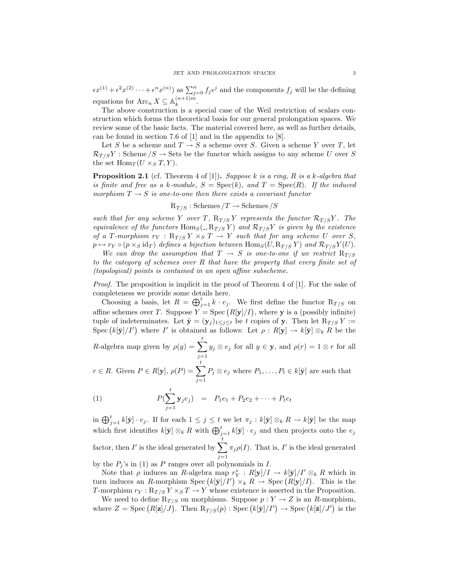$\epsilon x^{(1)} + \epsilon^2 x^{(2)} + \cdots + \epsilon^n x^{(n)}$  as  $\sum_{j=0}^n f_j \epsilon^j$  and the components  $f_j$  will be the defining equations for  $\text{Arc}_n X \subseteq \mathbb{A}_k^{(n+1)m}$  $\frac{(n+1)m}{k}$ .

The above construction is a special case of the Weil restriction of scalars construction which forms the theoretical basis for our general prolongation spaces. We review some of the basic facts. The material covered here, as well as further details, can be found in section 7.6 of [1] and in the appendix to [8].

Let S be a scheme and  $T \to S$  a scheme over S. Given a scheme Y over T, let  $\mathcal{R}_{T/S}Y$ : Scheme  $/S \to$  Sets be the functor which assigns to any scheme U over S the set  $\text{Hom}_T(U \times_S T, Y)$ .

**Proposition 2.1** (cf. Theorem 4 of [1]). Suppose k is a ring, R is a k-algebra that is finite and free as a k-module,  $S = \text{Spec}(k)$ , and  $T = \text{Spec}(R)$ . If the induced morphism  $T \rightarrow S$  is one-to-one then there exists a covariant functor

 $R_{T/S}:$  Schemes  $/T \rightarrow$  Schemes  $/S$ 

such that for any scheme Y over T,  $R_{T/S}Y$  represents the functor  $R_{T/S}Y$ . The equivalence of the functors  $\text{Hom}_S(A, R_{T/S}Y)$  and  $R_{T/S}Y$  is given by the existence of a T-morphism  $r_Y : R_{T/S} Y \times_S T \to Y$  such that for any scheme U over S,  $p \mapsto r_Y \circ (p \times_S \text{id}_T)$  defines a bijection between  $\text{Hom}_S(U, R_{T/S} Y)$  and  $\mathcal{R}_{T/S} Y(U)$ .

We can drop the assumption that  $T \rightarrow S$  is one-to-one if we restrict  $R_{T/S}$ to the category of schemes over R that have the property that every finite set of (topological) points is contained in an open affine subscheme.

Proof. The proposition is implicit in the proof of Theorem 4 of [1]. For the sake of completeness we provide some details here.

Choosing a basis, let  $R = \bigoplus_{j=1}^{t} k \cdot e_j$ . We first define the functor  $R_{T/S}$  on affine schemes over T. Suppose  $Y = \text{Spec} (R[y]/I)$ , where y is a (possibly infinite) tuple of indeterminates. Let  $\bar{\mathbf{y}} = (\mathbf{y}_j)_{1 \leq j \leq t}$  be t copies of y. Then let  $R_{T/S} Y :=$ Spec  $(k[\bar{y}]/I')$  where I' is obtained as follows: Let  $\rho: R[\mathbf{y}] \to k[\bar{\mathbf{y}}] \otimes_k R$  be the

R-algebra map given by  $\rho(y) = \sum_{k=1}^{t}$  $j=1$  $y_j \otimes e_j$  for all  $y \in \mathbf{y}$ , and  $\rho(r) = 1 \otimes r$  for all

 $r \in R$ . Given  $P \in R[\mathbf{y}], \rho(P) = \sum_{k=1}^{t}$  $j=1$  $P_j \otimes e_j$  where  $P_1, \ldots, P_t \in k[\bar{\mathbf{y}}]$  are such that

(1) 
$$
P(\sum_{j=1}^{t} \mathbf{y}_{j} e_{j}) = P_{1}e_{1} + P_{2}e_{2} + \cdots + P_{t}e_{t}
$$

in  $\bigoplus_{j=1}^t k[\bar{\mathbf{y}}] \cdot e_j$ . If for each  $1 \leq j \leq t$  we let  $\pi_j : k[\bar{\mathbf{y}}] \otimes_k R \to k[\bar{\mathbf{y}}]$  be the map which first identifies  $k[\bar{y}] \otimes_k R$  with  $\bigoplus_{j=1}^t k[\bar{y}] \cdot e_j$  and then projects onto the  $e_j$ factor, then  $I'$  is the ideal generated by  $\sum_{i=1}^{t}$  $j=1$  $\pi_j \rho(I)$ . That is, I' is the ideal generated by the  $P_i$ 's in (1) as P ranges over all polynomials in I.

Note that  $\rho$  induces an R-algebra map  $r_Y^* : R[y]/I \to k[\bar{y}]/I' \otimes_k R$  which in turn induces an R-morphism Spec  $(k[\bar{y}]/I') \times_k R \to \text{Spec} (R[y]/I)$ . This is the T-morphism  $r_Y: \mathbb{R}_{T/S} Y \times_S T \to Y$  whose existence is asserted in the Proposition.

We need to define  $R_{T/S}$  on morphisms. Suppose  $p: Y \to Z$  is an R-morphism, where  $Z = \text{Spec} (R[\mathbf{z}]/J)$ . Then  $R_{T/S}(p)$ : Spec  $(k[\bar{\mathbf{y}}]/I') \to \text{Spec} (k[\bar{\mathbf{z}}]/J')$  is the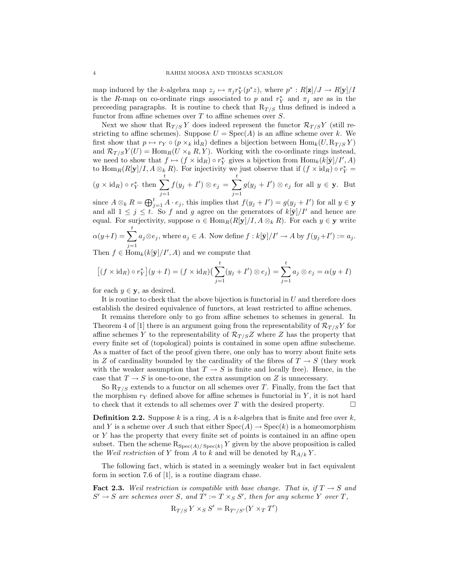map induced by the k-algebra map  $z_j \mapsto \pi_j r_Y^*(p^*z)$ , where  $p^* : R[\mathbf{z}] / J \to R[\mathbf{y}] / I$ is the R-map on co-ordinate rings associated to p and  $r_Y^*$  and  $\pi_j$  are as in the preceeding paragraphs. It is routine to check that  $R_{T/S}$  thus defined is indeed a functor from affine schemes over  $T$  to affine schemes over  $S$ .

Next we show that  $R_{T/S}Y$  does indeed represent the functor  $\mathcal{R}_{T/S}Y$  (still restricting to affine schemes). Suppose  $U = \text{Spec}(A)$  is an affine scheme over k. We first show that  $p \mapsto r_Y \circ (p \times_k \text{id}_R)$  defines a bijection between  $\text{Hom}_k(U, R_{T/S} Y)$ and  $\mathcal{R}_{T/S}Y(U) = \text{Hom}_{R}(U \times_k R, Y)$ . Working with the co-ordinate rings instead, we need to show that  $f \mapsto (f \times id_R) \circ r_Y^*$  gives a bijection from  $\text{Hom}_k(k[\bar{y}]/I', A)$ to  $\text{Hom}_R(R[\mathbf{y}]/I, A \otimes_k R)$ . For injectivity we just observe that if  $(f \times id_R) \circ r_Y^* =$ 

$$
(g \times \mathrm{id}_R) \circ r_Y^*
$$
 then  $\sum_{j=1}^t f(y_j + I') \otimes e_j = \sum_{j=1}^t g(y_j + I') \otimes e_j$  for all  $y \in \mathbf{y}$ . But

since  $A \otimes_k R = \bigoplus_{j=1}^t A \cdot e_j$ , this implies that  $f(y_j + I') = g(y_j + I')$  for all  $y \in \mathbf{y}$ and all  $1 \leq j \leq t$ . So f and g agree on the generators of  $k[\bar{y}]/I'$  and hence are equal. For surjectivity, suppose  $\alpha \in \text{Hom}_{R}(R[\mathbf{y}]/I, A \otimes_{k} R)$ . For each  $y \in \mathbf{y}$  write

$$
\alpha(y+I) = \sum_{j=1}^{t} a_j \otimes e_j, \text{ where } a_j \in A. \text{ Now define } f: k[\bar{\mathbf{y}}]/I' \to A \text{ by } f(y_j + I') := a_j.
$$

Then  $f \in \text{Hom}_k(k[\bar{\mathbf{y}}]/I', A)$  and we compute that

$$
\left[ (f \times id_R) \circ r_Y^* \right](y+I) = (f \times id_R) \left( \sum_{j=1}^t (y_j + I') \otimes e_j \right) = \sum_{j=1}^t a_j \otimes e_j = \alpha(y+I)
$$

for each  $y \in \mathbf{y}$ , as desired.

It is routine to check that the above bijection is functorial in  $U$  and therefore does establish the desired equivalence of functors, at least restricted to affine schemes.

It remains therefore only to go from affine schemes to schemes in general. In Theorem 4 of [1] there is an argument going from the representability of  $\mathcal{R}_{T/S}Y$  for affine schemes Y to the representability of  $\mathcal{R}_{T/S}Z$  where Z has the property that every finite set of (topological) points is contained in some open affine subscheme. As a matter of fact of the proof given there, one only has to worry about finite sets in Z of cardinality bounded by the cardinality of the fibres of  $T \to S$  (they work with the weaker assumption that  $T \to S$  is finite and locally free). Hence, in the case that  $T \to S$  is one-to-one, the extra assumption on Z is unnecessary.

So  $R_{T/S}$  extends to a functor on all schemes over T. Finally, from the fact that the morphism  $r_Y$  defined above for affine schemes is functorial in Y, it is not hard to check that it extends to all schemes over T with the desired property.  $\Box$ 

**Definition 2.2.** Suppose k is a ring, A is a k-algebra that is finite and free over k, and Y is a scheme over A such that either  $Spec(A) \to Spec(k)$  is a homeomorphism or Y has the property that every finite set of points is contained in an affine open subset. Then the scheme  $\mathrm{R}_{\mathrm{Spec}(A)/\mathrm{Spec}(k)}$  Y given by the above proposition is called the Weil restriction of Y from A to k and will be denoted by  $R_{A/k}$  Y.

The following fact, which is stated in a seemingly weaker but in fact equivalent form in section 7.6 of [1], is a routine diagram chase.

**Fact 2.3.** Weil restriction is compatible with base change. That is, if  $T \rightarrow S$  and  $S' \to S$  are schemes over S, and  $T' := T \times_S S'$ , then for any scheme Y over T,

$$
R_{T/S} Y \times_S S' = R_{T'/S'}(Y \times_T T')
$$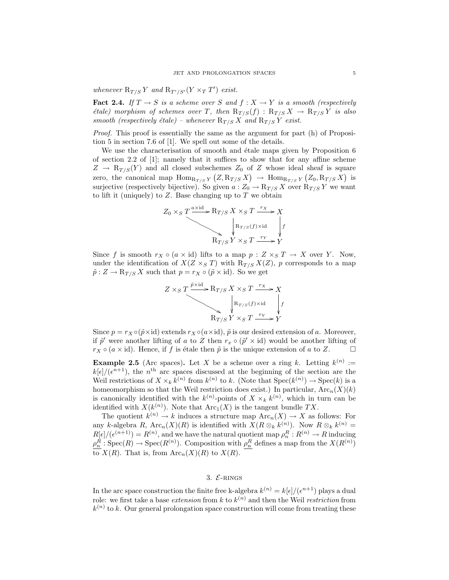whenever  $R_{T/S} Y$  and  $R_{T'/S'} (Y \times_T T')$  exist.

**Fact 2.4.** If  $T \to S$  is a scheme over S and  $f : X \to Y$  is a smooth (respectively *étale)* morphism of schemes over T, then  $R_{T/S}(f) : R_{T/S} X \rightarrow R_{T/S} Y$  is also smooth (respectively étale) – whenever  $R_{T/S} X$  and  $R_{T/S} Y$  exist.

Proof. This proof is essentially the same as the argument for part (h) of Proposition 5 in section 7.6 of [1]. We spell out some of the details.

We use the characterisation of smooth and  $\acute{e}$ tale maps given by Proposition 6 of section 2.2 of  $[1]$ ; namely that it suffices to show that for any affine scheme  $Z \rightarrow R_{T/S}(Y)$  and all closed subschemes  $Z_0$  of Z whose ideal sheaf is square zero, the canonical map  $\text{Hom}_{R_{T/S}Y}(Z, R_{T/S}X) \to \text{Hom}_{R_{T/S}Y}(Z_0, R_{T/S}X)$  is surjective (respectively bijective). So given  $a: Z_0 \to \mathbb{R}_{T/S} X$  over  $\mathbb{R}_{T/S} Y$  we want to lift it (uniquely) to  $Z$ . Base changing up to  $T$  we obtain

$$
Z_0 \times_S T \xrightarrow{\text{a x id}} \text{R}_{T/S} X \times_S T \xrightarrow{r_X} X
$$
\n
$$
\downarrow \text{R}_{T/S}(f) \times \text{id}
$$
\n
$$
\downarrow \text{R}_{T/S} Y \times_S T \xrightarrow{r_Y} Y
$$

Since f is smooth  $r_X \circ (a \times id)$  lifts to a map  $p : Z \times_S T \to X$  over Y. Now, under the identification of  $X(Z \times_S T)$  with  $R_{T/S} X(Z)$ , p corresponds to a map  $\tilde{p}: Z \to \mathcal{R}_{T/S} X$  such that  $p = r_X \circ (\tilde{p} \times id)$ . So we get



Since  $p = r_X \circ (\tilde{p} \times id)$  extends  $r_X \circ (a \times id)$ ,  $\tilde{p}$  is our desired extension of a. Moreover, if  $\tilde{p}'$  were another lifting of a to Z then  $r_x \circ (\tilde{p}' \times id)$  would be another lifting of  $r_X \circ (a \times id)$ . Hence, if f is étale then  $\tilde{p}$  is the unique extension of a to Z.

**Example 2.5** (Arc spaces). Let X be a scheme over a ring k. Letting  $k^{(n)}$  :=  $k[\epsilon]/(\epsilon^{n+1})$ , the n<sup>th</sup> arc spaces discussed at the beginning of the section are the Weil restrictions of  $X \times_k k^{(n)}$  from  $k^{(n)}$  to k. (Note that  $Spec(k^{(n)}) \to Spec(k)$  is a homeomorphism so that the Weil restriction does exist.) In particular,  $\text{Arc}_n(X)(k)$ is canonically identified with the  $k^{(n)}$ -points of  $X \times_k k^{(n)}$ , which in turn can be identified with  $X(k^{(n)})$ . Note that  $\text{Arc}_1(X)$  is the tangent bundle TX.

The quotient  $k^{(n)} \to k$  induces a structure map  $\text{Arc}_n(X) \to X$  as follows: For any k-algebra R,  $\text{Arc}_n(X)(R)$  is identified with  $X(R \otimes_k k^{(n)})$ . Now  $R \otimes_k k^{(n)} =$  $R[\epsilon]/(\epsilon^{(n+1)}) = R^{(n)}$ , and we have the natural quotient map  $\rho_n^R : R^{(n)} \to R$  inducing  $\rho_n^R$ : Spec $(R) \to \text{Spec}(R^{(n)})$ . Composition with  $\rho_n^R$  defines a map from the  $X(R^{(n)})$ to  $X(R)$ . That is, from  $\text{Arc}_n(X)(R)$  to  $X(R)$ .

## 3.  $\mathcal{E}$ -RINGS

In the arc space construction the finite free k-algebra  $k^{(n)} = k[\epsilon]/(\epsilon^{n+1})$  plays a dual role: we first take a base *extension* from k to  $k^{(n)}$  and then the Weil *restriction* from  $k^{(n)}$  to k. Our general prolongation space construction will come from treating these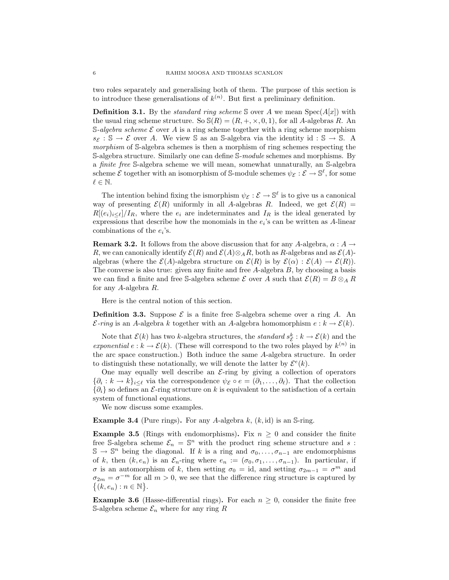two roles separately and generalising both of them. The purpose of this section is to introduce these generalisations of  $k^{(n)}$ . But first a preliminary definition.

**Definition 3.1.** By the *standard ring scheme* S over A we mean  $Spec(A[x])$  with the usual ring scheme structure. So  $\mathcal{S}(R) = (R, +, \times, 0, 1)$ , for all A-algebras R. An S-algebra scheme  $\mathcal E$  over A is a ring scheme together with a ring scheme morphism  $s_{\mathcal{E}} : \mathbb{S} \to \mathcal{E}$  over A. We view S as an S-algebra via the identity id : S  $\to$  S. A morphism of S-algebra schemes is then a morphism of ring schemes respecting the S-algebra structure. Similarly one can define S-module schemes and morphisms. By a finite free S-algebra scheme we will mean, somewhat unnaturally, an S-algebra scheme  $\mathcal E$  together with an isomorphism of S-module schemes  $\psi_{\mathcal E}: \mathcal E \to \mathbb S^\ell$ , for some  $\ell \in \mathbb{N}$ .

The intention behind fixing the ismorphism  $\psi_{\mathcal{E}} : \mathcal{E} \to \mathbb{S}^{\ell}$  is to give us a canonical way of presenting  $\mathcal{E}(R)$  uniformly in all A-algebras R. Indeed, we get  $\mathcal{E}(R)$  =  $R[(e_i)_{i\leq \ell}]/I_R$ , where the  $e_i$  are indeterminates and  $I_R$  is the ideal generated by expressions that describe how the monomials in the  $e_i$ 's can be written as A-linear combinations of the  $e_i$ 's.

**Remark 3.2.** It follows from the above discussion that for any A-algebra,  $\alpha$  :  $A \rightarrow$ R, we can canonically identify  $\mathcal{E}(R)$  and  $\mathcal{E}(A)\otimes_A R$ , both as R-algebras and as  $\mathcal{E}(A)$ algebras (where the  $\mathcal{E}(A)$ -algebra structure on  $\mathcal{E}(R)$  is by  $\mathcal{E}(\alpha) : \mathcal{E}(A) \to \mathcal{E}(R)$ ). The converse is also true: given any finite and free  $A$ -algebra  $B$ , by choosing a basis we can find a finite and free S-algebra scheme  $\mathcal E$  over A such that  $\mathcal E(R) = B \otimes_A R$ for any A-algebra R.

Here is the central notion of this section.

**Definition 3.3.** Suppose  $\mathcal{E}$  is a finite free S-algebra scheme over a ring A. An  $\mathcal{E}\text{-ring}$  is an A-algebra k together with an A-algebra homomorphism  $e : k \to \mathcal{E}(k)$ .

Note that  $\mathcal{E}(k)$  has two k-algebra structures, the *standard*  $s_{\mathcal{E}}^{k}: k \to \mathcal{E}(k)$  and the exponential  $e : k \to \mathcal{E}(k)$ . (These will correspond to the two roles played by  $k^{(n)}$  in the arc space construction.) Both induce the same A-algebra structure. In order to distinguish these notationally, we will denote the latter by  $\mathcal{E}^{e}(k)$ .

One may equally well describe an  $\mathcal{E}\text{-ring}$  by giving a collection of operators  $\{\partial_i : k \to k\}_{i \leq \ell}$  via the correspondence  $\psi_{\mathcal{E}} \circ e = (\partial_1, \dots, \partial_\ell)$ . That the collection  ${\{\partial_i\}}$  so defines an *E*-ring structure on k is equivalent to the satisfaction of a certain system of functional equations.

We now discuss some examples.

**Example 3.4** (Pure rings). For any A-algebra  $k$ ,  $(k, id)$  is an S-ring.

**Example 3.5** (Rings with endomorphisms). Fix  $n \geq 0$  and consider the finite free S-algebra scheme  $\mathcal{E}_n = \mathbb{S}^n$  with the product ring scheme structure and s:  $\mathbb{S} \to \mathbb{S}^n$  being the diagonal. If k is a ring and  $\sigma_0, \ldots, \sigma_{n-1}$  are endomorphisms of k, then  $(k, e_n)$  is an  $\mathcal{E}_n$ -ring where  $e_n := (\sigma_0, \sigma_1, \ldots, \sigma_{n-1})$ . In particular, if  $\sigma$  is an automorphism of k, then setting  $\sigma_0 = id$ , and setting  $\sigma_{2m-1} = \sigma^m$  and  $\sigma_{2m} = \sigma^{-m}$  for all  $m > 0$ , we see that the difference ring structure is captured by  $\{(k, e_n) : n \in \mathbb{N}\}.$ 

**Example 3.6** (Hasse-differential rings). For each  $n \geq 0$ , consider the finite free S-algebra scheme  $\mathcal{E}_n$  where for any ring R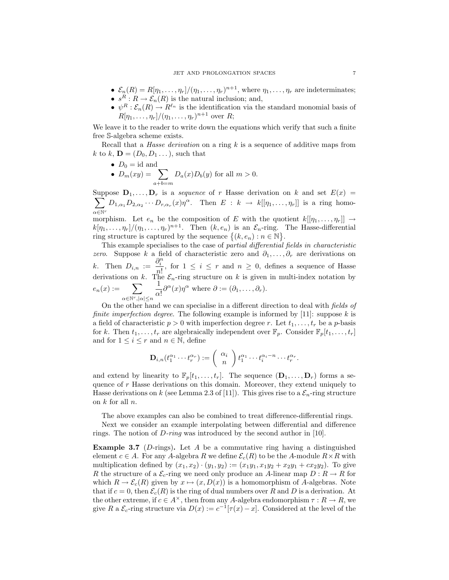- $\mathcal{E}_n(R) = R[\eta_1, \ldots, \eta_r]/(\eta_1, \ldots, \eta_r)^{n+1}$ , where  $\eta_1, \ldots, \eta_r$  are indeterminates;
- $s^R: R \to \mathcal{E}_n(R)$  is the natural inclusion; and,
- $\psi^R : \mathcal{E}_n(R) \to R^{\ell_n}$  is the identification via the standard monomial basis of  $R[\eta_1,\ldots,\eta_r]/(\eta_1,\ldots,\eta_r)^{n+1}$  over R;

We leave it to the reader to write down the equations which verify that such a finite free S-algebra scheme exists.

Recall that a *Hasse derivation* on a ring  $k$  is a sequence of additive maps from k to k,  $\mathbf{D} = (D_0, D_1 \dots)$ , such that

- $D_0 = id$  and
- $D_m(xy) = \sum$  $a+b=m$  $D_a(x)D_b(y)$  for all  $m > 0$ .

Suppose  $\mathbf{D}_1, \ldots, \mathbf{D}_r$  is a sequence of r Hasse derivation on k and set  $E(x) =$  $\sum$ α∈N<sup>r</sup>  $D_{1,\alpha_1}D_{2,\alpha_2}\cdots D_{r,\alpha_r}(x)\eta^{\alpha}$ . Then  $E: k \to k[[\eta_1,\ldots,\eta_r]]$  is a ring homo-

morphism. Let  $e_n$  be the composition of E with the quotient  $k[[\eta_1, \ldots, \eta_r]] \rightarrow$  $k[\eta_1,\ldots,\eta_r]/(\eta_1,\ldots,\eta_r)^{n+1}$ . Then  $(k, e_n)$  is an  $\mathcal{E}_n$ -ring. The Hasse-differential ring structure is captured by the sequence  $\{(k, e_n) : n \in \mathbb{N}\}.$ 

This example specialises to the case of partial differential fields in characteristic zero. Suppose k a field of characteristic zero and  $\partial_1, \ldots, \partial_r$  are derivations on k. Then  $D_{i,n} := \frac{\partial_i^n}{\partial x^n}$  $\frac{\sigma_i}{n!}$ , for  $1 \leq i \leq r$  and  $n \geq 0$ , defines a sequence of Hasse derivations on k. The  $\mathcal{E}_n$ -ring structure on k is given in multi-index notation by  $e_n(x) := \sum$  $\alpha \in \mathbb{N}^r, |\alpha| \leq n$ 1  $\frac{1}{\alpha!} \partial^{\alpha}(x) \eta^{\alpha}$  where  $\partial := (\partial_1, \dots, \partial_r)$ .

On the other hand we can specialise in a different direction to deal with fields of *finite imperfection degree.* The following example is informed by [11]: suppose  $k$  is a field of characteristic  $p > 0$  with imperfection degree r. Let  $t_1, \ldots, t_r$  be a p-basis for k. Then  $t_1, \ldots, t_r$  are algebraically independent over  $\mathbb{F}_p$ . Consider  $\mathbb{F}_p[t_1, \ldots, t_r]$ and for  $1 \leq i \leq r$  and  $n \in \mathbb{N}$ , define

$$
\mathbf{D}_{i,n}(t_1^{\alpha_1}\cdots t_r^{\alpha_r}) := \begin{pmatrix} \alpha_i \\ n \end{pmatrix} t_1^{\alpha_1}\cdots t_i^{\alpha_i-n}\cdots t_r^{\alpha_r}.
$$

and extend by linearity to  $\mathbb{F}_p[t_1,\ldots,t_r]$ . The sequence  $(\mathbf{D}_1,\ldots,\mathbf{D}_r)$  forms a sequence of  $r$  Hasse derivations on this domain. Moreover, they extend uniquely to Hasse derivations on k (see Lemma 2.3 of [11]). This gives rise to a  $\mathcal{E}_n$ -ring structure on  $k$  for all  $n$ .

The above examples can also be combined to treat difference-differential rings.

Next we consider an example interpolating between differential and difference rings. The notion of D-ring was introduced by the second author in [10].

**Example 3.7** (D-rings). Let A be a commutative ring having a distinguished element  $c \in A$ . For any A-algebra R we define  $\mathcal{E}_c(R)$  to be the A-module  $R \times R$  with multiplication defined by  $(x_1, x_2) \cdot (y_1, y_2) := (x_1y_1, x_1y_2 + x_2y_1 + cx_2y_2)$ . To give R the structure of a  $\mathcal{E}_c$ -ring we need only produce an A-linear map  $D: R \to R$  for which  $R \to \mathcal{E}_c(R)$  given by  $x \mapsto (x, D(x))$  is a homomorphism of A-algebras. Note that if  $c = 0$ , then  $\mathcal{E}_c(R)$  is the ring of dual numbers over R and D is a derivation. At the other extreme, if  $c \in A^{\times}$ , then from any A-algebra endomorphism  $\tau : R \to R$ , we give R a  $\mathcal{E}_c$ -ring structure via  $D(x) := c^{-1} [\tau(x) - x]$ . Considered at the level of the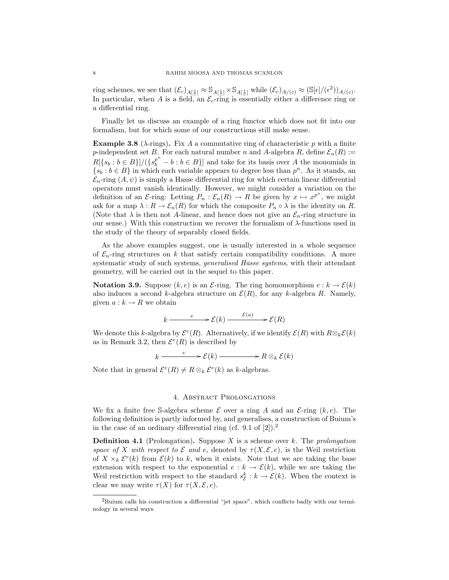ring schemes, we see that  $(\mathcal{E}_c)_{A[\frac{1}{c}]} \approx \mathbb{S}_{A[\frac{1}{c}]} \times \mathbb{S}_{A[\frac{1}{c}]}$  while  $(\mathcal{E}_c)_{A/(c)} \approx (\mathbb{S}[\epsilon]/(\epsilon^2))_{A/(c)}$ . In particular, when A is a field, an  $\mathcal{E}_c$ -ring is essentially either a difference ring or a differential ring.

Finally let us discuss an example of a ring functor which does not fit into our formalism, but for which some of our constructions still make sense.

**Example 3.8** ( $\lambda$ -rings). Fix A a commutative ring of characteristic p with a finite p-independent set B. For each natural number n and A-algebra R, define  $\mathcal{E}_n(R) :=$  $R[{s_b : b \in B}]/({s_b^p}^n - b : b \in B}]$  and take for its basis over A the monomials in  $\{s_b : b \in B\}$  in which each variable appears to degree less than  $p^n$ . As it stands, an  $\mathcal{E}_n$ -ring  $(A, \psi)$  is simply a Hasse differential ring for which certain linear differential operators must vanish identically. However, we might consider a variation on the definition of an  $\mathcal{E}\text{-ring:}$  Letting  $P_n : \mathcal{E}_n(R) \to R$  be given by  $x \mapsto x^{p^n}$ , we might ask for a map  $\lambda: R \to \mathcal{E}_n(R)$  for which the composite  $P_n \circ \lambda$  is the identity on R. (Note that  $\lambda$  is then not A-linear, and hence does not give an  $\mathcal{E}_n$ -ring structure in our sense.) With this construction we recover the formalism of λ-functions used in the study of the theory of separably closed fields.

As the above examples suggest, one is usually interested in a whole sequence of  $\mathcal{E}_n$ -ring structures on k that satisfy certain compatibility conditions. A more systematic study of such systems, generalised Hasse systems, with their attendant geometry, will be carried out in the sequel to this paper.

**Notation 3.9.** Suppose  $(k, e)$  is an *E*-ring. The ring homomorphism  $e : k \to \mathcal{E}(k)$ also induces a second k-algebra structure on  $\mathcal{E}(R)$ , for any k-algebra R. Namely, given  $a : k \to R$  we obtain

$$
k \xrightarrow{e} \mathcal{E}(k) \xrightarrow{\mathcal{E}(a)} \mathcal{E}(R)
$$

We denote this k-algebra by  $\mathcal{E}^e(R)$ . Alternatively, if we identify  $\mathcal{E}(R)$  with  $R \otimes_k \mathcal{E}(k)$ as in Remark 3.2, then  $\mathcal{E}^e(R)$  is described by

$$
k \xrightarrow{e} \mathcal{E}(k) \xrightarrow{e} R \otimes_k \mathcal{E}(k)
$$

Note that in general  $\mathcal{E}^e(R) \neq R \otimes_k \mathcal{E}^e(k)$  as k-algebras.

## 4. Abstract Prolongations

We fix a finite free S-algebra scheme  $\mathcal E$  over a ring A and an  $\mathcal E$ -ring  $(k, e)$ . The following definition is partly informed by, and generalises, a construction of Buium's in the case of an ordinary differential ring (cf. 9.1 of  $[2]$ ).<sup>2</sup>

**Definition 4.1** (Prolongation). Suppose X is a scheme over k. The prolongation space of X with respect to E and e, denoted by  $\tau(X, \mathcal{E}, e)$ , is the Weil restriction of  $X \times_k \mathcal{E}^e(k)$  from  $\mathcal{E}(k)$  to k, when it exists. Note that we are taking the base extension with respect to the exponential  $e : k \to \mathcal{E}(k)$ , while we are taking the Weil restriction with respect to the standard  $s_{\mathcal{E}}^{k}: k \to \mathcal{E}(k)$ . When the context is clear we may write  $\tau(X)$  for  $\tau(X, \mathcal{E}, e)$ .

 ${}^{2}$ Buium calls his construction a differential "jet space", which conflicts badly with our terminology in several ways.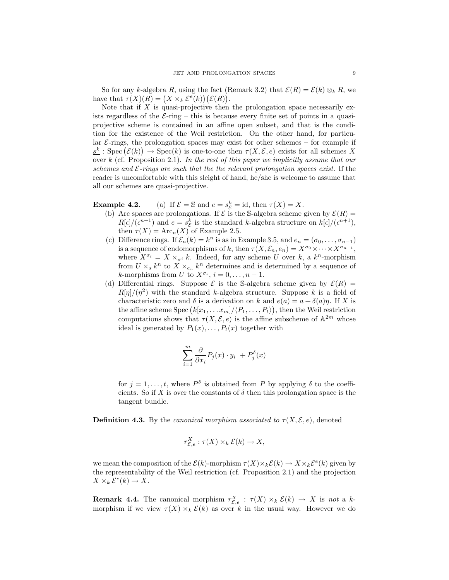So for any k-algebra R, using the fact (Remark 3.2) that  $\mathcal{E}(R) = \mathcal{E}(k) \otimes_k R$ , we have that  $\tau(X)(R) = (X \times_k \mathcal{E}^e(k))(\mathcal{E}(R)).$ 

Note that if  $X$  is quasi-projective then the prolongation space necessarily exists regardless of the  $\mathcal{E}\text{-ring}$  – this is because every finite set of points in a quasiprojective scheme is contained in an affine open subset, and that is the condition for the existence of the Weil restriction. On the other hand, for particular  $\mathcal{E}\text{-rings}$ , the prolongation spaces may exist for other schemes – for example if  $\underline{s^k}$ : Spec  $(\mathcal{E}(k)) \to \text{Spec}(k)$  is one-to-one then  $\tau(X, \mathcal{E}, e)$  exists for all schemes X over k (cf. Proposition 2.1). In the rest of this paper we implicitly assume that our schemes and  $\mathcal{E}$ -rings are such that the the relevant prolongation spaces exist. If the reader is uncomfortable with this sleight of hand, he/she is welcome to assume that all our schemes are quasi-projective.

**Example 4.2.** (a) If  $\mathcal{E} = \mathbb{S}$  and  $e = s_{\mathcal{E}}^k = id$ , then  $\tau(X) = X$ .

- (b) Arc spaces are prolongations. If  $\mathcal E$  is the S-algebra scheme given by  $\mathcal E(R)$  =  $R[\epsilon]/(\epsilon^{n+1})$  and  $e = s_{\mathcal{E}}^k$  is the standard k-algebra structure on  $k[\epsilon]/(\epsilon^{n+1}),$ then  $\tau(X) = \text{Arc}_n(X)$  of Example 2.5.
- (c) Difference rings. If  $\mathcal{E}_n(k) = k^n$  is as in Example 3.5, and  $e_n = (\sigma_0, \dots, \sigma_{n-1})$ is a sequence of endomorphisms of k, then  $\tau(X, \mathcal{E}_n, e_n) = X^{\sigma_0} \times \cdots \times X^{\sigma_{n-1}},$ where  $X^{\sigma_i} = X \times_{\sigma^i} k$ . Indeed, for any scheme U over k, a  $k^n$ -morphism from  $U \times_{s} k^{n}$  to  $X \times_{e_n} k^{n}$  determines and is determined by a sequence of *k*-morphisms from U to  $X^{\sigma_i}$ ,  $i = 0, \ldots, n - 1$ .
- (d) Differential rings. Suppose  $\mathcal E$  is the S-algebra scheme given by  $\mathcal E(R) =$  $R[\eta]/(\eta^2)$  with the standard k-algebra structure. Suppose k is a field of characteristic zero and  $\delta$  is a derivation on k and  $e(a) = a + \delta(a)\eta$ . If X is the affine scheme Spec  $(k[x_1, \ldots x_m]/\langle P_1, \ldots, P_t \rangle)$ , then the Weil restriction computations shows that  $\tau(X, \mathcal{E}, e)$  is the affine subscheme of  $\mathbb{A}^{2m}$  whose ideal is generated by  $P_1(x), \ldots, P_t(x)$  together with

$$
\sum_{i=1}^m \frac{\partial}{\partial x_i} P_j(x) \cdot y_i \ + P_j^{\delta}(x)
$$

for  $j = 1, \ldots, t$ , where  $P^{\delta}$  is obtained from P by applying  $\delta$  to the coefficients. So if X is over the constants of  $\delta$  then this prolongation space is the tangent bundle.

**Definition 4.3.** By the *canonical morphism associated to*  $\tau(X, \mathcal{E}, e)$ , denoted

$$
r_{\mathcal{E},e}^X : \tau(X) \times_k \mathcal{E}(k) \to X,
$$

we mean the composition of the  $\mathcal{E}(k)$ -morphism  $\tau(X)\times_k\mathcal{E}(k) \to X\times_k\mathcal{E}^e(k)$  given by the representability of the Weil restriction (cf. Proposition 2.1) and the projection  $X \times_k \mathcal{E}^e(k) \to X.$ 

**Remark 4.4.** The canonical morphism  $r_{\mathcal{E},e}^X$  :  $\tau(X) \times_k \mathcal{E}(k) \to X$  is not a kmorphism if we view  $\tau(X) \times_k \mathcal{E}(k)$  as over k in the usual way. However we do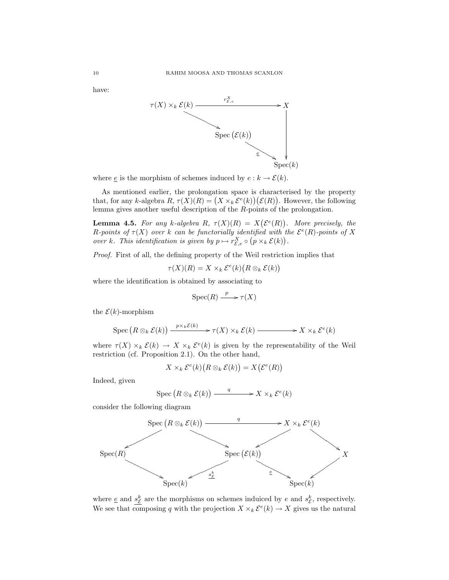have:



where  $\underline{e}$  is the morphism of schemes induced by  $e : k \to \mathcal{E}(k)$ .

As mentioned earlier, the prolongation space is characterised by the property that, for any k-algebra  $R, \tau(X)(R) = (X \times_k \mathcal{E}^e(k))(\mathcal{E}(R))$ . However, the following lemma gives another useful description of the R-points of the prolongation.

**Lemma 4.5.** For any k-algebra R,  $\tau(X)(R) = X(\mathcal{E}^e(R))$ . More precisely, the R-points of  $\tau(X)$  over k can be functorially identified with the  $\mathcal{E}^e(R)$ -points of X over k. This identification is given by  $p \mapsto r_{\mathcal{E},e}^X \circ (p \times_k \mathcal{E}(k)).$ 

Proof. First of all, the defining property of the Weil restriction implies that

$$
\tau(X)(R) = X \times_k \mathcal{E}^e(k) (R \otimes_k \mathcal{E}(k))
$$

where the identification is obtained by associating to

$$
\operatorname{Spec}(R) \xrightarrow{p} \tau(X)
$$

the  $\mathcal{E}(k)$ -morphism

$$
\operatorname{Spec} (R \otimes_k \mathcal{E}(k)) \xrightarrow{p \times_k \mathcal{E}(k)} \to \tau(X) \times_k \mathcal{E}(k) \longrightarrow X \times_k \mathcal{E}^e(k)
$$

where  $\tau(X) \times_k \mathcal{E}(k) \to X \times_k \mathcal{E}^e(k)$  is given by the representability of the Weil restriction (cf. Proposition 2.1). On the other hand,

$$
X \times_k \mathcal{E}^e(k) (R \otimes_k \mathcal{E}(k)) = X(\mathcal{E}^e(R))
$$

Indeed, given

$$
\operatorname{Spec} \left( R \otimes_k \mathcal{E}(k) \right) \xrightarrow{q} X \times_k \mathcal{E}^e(k)
$$

consider the following diagram



where  $\underline{e}$  and  $s_{\mathcal{E}}^{k}$  are the morphisms on schemes induiced by e and  $s_{\mathcal{E}}^{k}$ , respectively. We see that composing q with the projection  $X \times_k \mathcal{E}^e(k) \to X$  gives us the natural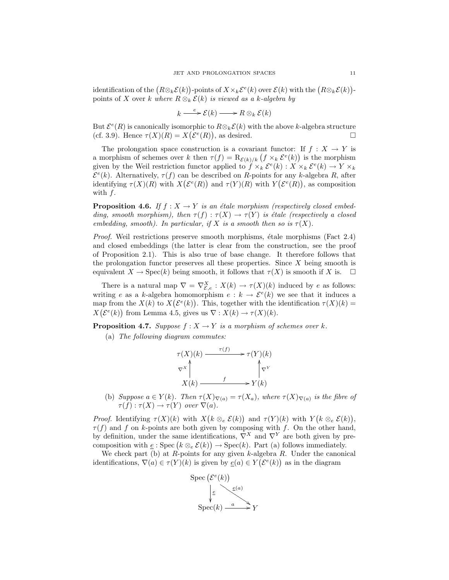identification of the  $(R\otimes_k \mathcal{E}(k))$ -points of  $X\times_k \mathcal{E}^e(k)$  over  $\mathcal{E}(k)$  with the  $(R\otimes_k \mathcal{E}(k))$ points of X over k where  $R \otimes_k \mathcal{E}(k)$  is viewed as a k-algebra by

$$
k \xrightarrow{e} \mathcal{E}(k) \longrightarrow R \otimes_k \mathcal{E}(k)
$$

But  $\mathcal{E}^e(R)$  is canonically isomorphic to  $R \otimes_k \mathcal{E}(k)$  with the above k-algebra structure (cf. 3.9). Hence  $\tau(X)(R) = X(\mathcal{E}^e(R))$ , as desired.

The prolongation space construction is a covariant functor: If  $f : X \to Y$  is a morphism of schemes over k then  $\tau(f) = \mathcal{R}_{\mathcal{E}(k)/k} (f \times_k \mathcal{E}^e(k))$  is the morphism given by the Weil restriction functor applied to  $\hat{f} \times_k \mathcal{E}^e(k) : X \times_k \mathcal{E}^e(k) \to Y \times_k$  $\mathcal{E}^{e}(k)$ . Alternatively,  $\tau(f)$  can be described on R-points for any k-algebra R, after identifying  $\tau(X)(R)$  with  $X(\mathcal{E}^e(R))$  and  $\tau(Y)(R)$  with  $Y(\mathcal{E}^e(R))$ , as composition with f.

**Proposition 4.6.** If  $f : X \to Y$  is an étale morphism (respectively closed embedding, smooth morphism), then  $\tau(f) : \tau(X) \to \tau(Y)$  is étale (respectively a closed embedding, smooth). In particular, if X is a smooth then so is  $\tau(X)$ .

*Proof.* Weil restrictions preserve smooth morphisms, étale morphisms (Fact  $2.4$ ) and closed embeddings (the latter is clear from the construction, see the proof of Proposition 2.1). This is also true of base change. It therefore follows that the prolongation functor preserves all these properties. Since  $X$  being smooth is equivalent  $X \to \text{Spec}(k)$  being smooth, it follows that  $\tau(X)$  is smooth if X is.  $\Box$ 

There is a natural map  $\nabla = \nabla_{\mathcal{E},e}^X : X(k) \to \tau(X)(k)$  induced by e as follows: writing e as a k-algebra homomorphism  $e: k \to \mathcal{E}^e(k)$  we see that it induces a map from the  $X(k)$  to  $X(\mathcal{E}^e(k))$ . This, together with the identification  $\tau(X)(k)$  =  $X(\mathcal{E}^e(k))$  from Lemma 4.5, gives us  $\nabla : X(k) \to \tau(X)(k)$ .

**Proposition 4.7.** Suppose  $f : X \to Y$  is a morphism of schemes over k.

(a) The following diagram commutes:

$$
\tau(X)(k) \xrightarrow{\tau(f)} \tau(Y)(k)
$$
  
\n
$$
\nabla^{X} \uparrow \qquad \qquad \uparrow \nabla^{Y}
$$
  
\n
$$
X(k) \xrightarrow{f} Y(k)
$$

(b) Suppose  $a \in Y(k)$ . Then  $\tau(X)_{\nabla(a)} = \tau(X_a)$ , where  $\tau(X)_{\nabla(a)}$  is the fibre of  $\tau(f) : \tau(X) \to \tau(Y)$  over  $\nabla(a)$ .

*Proof.* Identifying  $\tau(X)(k)$  with  $X(k \otimes_{e} \mathcal{E}(k))$  and  $\tau(Y)(k)$  with  $Y(k \otimes_{e} \mathcal{E}(k))$ ,  $\tau(f)$  and f on k-points are both given by composing with f. On the other hand, by definition, under the same identifications,  $\nabla^{X}$  and  $\nabla^{Y}$  are both given by precomposition with  $\underline{e}$ : Spec $(k \otimes_{e} \mathcal{E}(k)) \rightarrow \text{Spec}(k)$ . Part (a) follows immediately.

We check part (b) at  $R$ -points for any given  $k$ -algebra  $R$ . Under the canonical identifications,  $\nabla(a) \in \tau(Y)(k)$  is given by  $\underline{e}(a) \in Y(\mathcal{E}^e(k))$  as in the diagram

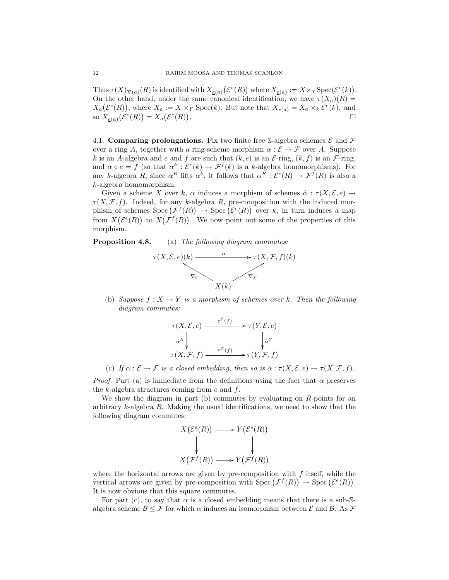Thus  $\tau(X)_{\nabla(a)}(R)$  is identified with  $X_{\varepsilon(a)}(\mathcal{E}^e(R))$  where  $X_{\varepsilon(a)} := X \times_Y \mathrm{Spec}(\mathcal{E}^e(k)).$ On the other hand, under the same canonical identification, we have  $\tau(X_a)(R) =$  $X_a(\mathcal{E}^e(R))$ , where  $X_a := X \times_Y \text{Spec}(k)$ . But note that  $X_{e(a)} = X_a \times_k \mathcal{E}^e(k)$ . and so  $X_{\underline{e}(a)}(\mathcal{E}^e(R)) = X_a(\mathcal{E}^e(R))$ .

4.1. Comparing prolongations. Fix two finite free S-algebra schemes  $\mathcal E$  and  $\mathcal F$ over a ring A, together with a ring-scheme morphism  $\alpha : \mathcal{E} \to \mathcal{F}$  over A. Suppose k is an A-algebra and e and f are such that  $(k, e)$  is an E-ring,  $(k, f)$  is an F-ring, and  $\alpha \circ e = f$  (so that  $\alpha^k : \mathcal{E}^e(k) \to \mathcal{F}^f(k)$  is a k-algebra homomorphisms). For any k-algebra R, since  $\alpha^R$  lifts  $\alpha^k$ , it follows that  $\alpha^R : \mathcal{E}^e(R) \to \mathcal{F}^f(R)$  is also a k-algebra homomorphism.

Given a scheme X over k,  $\alpha$  induces a morphism of schemes  $\hat{\alpha} : \tau(X, \mathcal{E}, e) \rightarrow$  $\tau(X, \mathcal{F}, f)$ . Indeed, for any k-algebra R, pre-composition with the induced morphism of schemes  $Spec(\mathcal{F}^f(R)) \to Spec(\mathcal{E}^e(R))$  over k, in turn induces a map from  $X(\mathcal{E}^e(R))$  to  $X(\mathcal{F}^f(R))$ . We now point out some of the properties of this morphism.

Proposition 4.8. (a) The following diagram commutes:



(b) Suppose  $f: X \to Y$  is a morphism of schemes over k. Then the following diagram commutes:

$$
\tau(X, \mathcal{E}, e) \xrightarrow{\tau^{\mathcal{E}}(f)} \tau(Y, \mathcal{E}, e)
$$
\n
$$
\hat{\alpha}^{X} \downarrow \qquad \qquad \downarrow \hat{\alpha}^{Y}
$$
\n
$$
\tau(X, \mathcal{F}, f) \xrightarrow{\tau^{\mathcal{F}}(f)} \tau(Y, \mathcal{F}, f)
$$

(c) If  $\alpha : \mathcal{E} \to \mathcal{F}$  is a closed embedding, then so is  $\hat{\alpha} : \tau(X, \mathcal{E}, e) \to \tau(X, \mathcal{F}, f)$ .

*Proof.* Part (a) is immediate from the definitions using the fact that  $\alpha$  preserves the  $k$ -algebra structures coming from  $e$  and  $f$ .

We show the diagram in part (b) commutes by evaluating on  $R$ -points for an arbitrary  $k$ -algebra  $R$ . Making the usual identifications, we need to show that the following diagram commutes:

$$
X(\mathcal{E}^e(R)) \longrightarrow Y(\mathcal{E}^e(R))
$$
  
\n
$$
\downarrow \qquad \qquad \downarrow
$$
  
\n
$$
X(\mathcal{F}^f(R)) \longrightarrow Y(\mathcal{F}^f(R))
$$

where the horizontal arrows are given by pre-composition with  $f$  itself, while the vertical arrows are given by pre-composition with  $Spec(\mathcal{F}^f(R)) \to Spec(\mathcal{E}^e(R)).$ It is now obvious that this square commutes.

For part (c), to say that  $\alpha$  is a closed embedding means that there is a sub-Salgebra scheme  $\mathcal{B} \leq \mathcal{F}$  for which  $\alpha$  induces an isomorphism between  $\mathcal{E}$  and  $\mathcal{B}$ . As  $\mathcal{F}$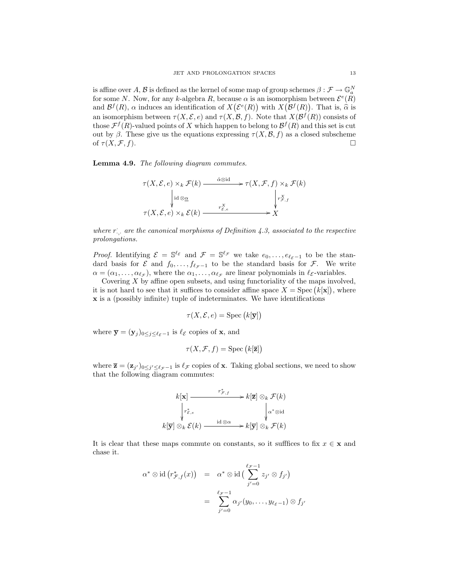is affine over  $A, B$  is defined as the kernel of some map of group schemes  $\beta: \mathcal{F} \to \mathbb{G}_a^N$ for some N. Now, for any k-algebra R, because  $\alpha$  is an isomorphism between  $\mathcal{E}^e(R)$ and  $\mathcal{B}^f(R)$ ,  $\alpha$  induces an identification of  $X(\mathcal{E}^e(R))$  with  $X(\mathcal{B}^f(R))$ . That is,  $\widehat{\alpha}$  is an isomorphism between  $\tau(X, \mathcal{E}, e)$  and  $\tau(X, \mathcal{B}, f)$ . Note that  $X(\mathcal{B}^f(R))$  consists of those  $\mathcal{F}^f(R)$ -valued points of X which happen to belong to  $\mathcal{B}^f(R)$  and this set is cut out by β. These give us the equations expressing  $\tau(X, \mathcal{B}, f)$  as a closed subscheme of  $\tau(X,\mathcal{F},f)$ .

Lemma 4.9. The following diagram commutes.



where  $r_{\cdot,\cdot}$  are the canonical morphisms of Definition 4.3, associated to the respective prolongations.

*Proof.* Identifying  $\mathcal{E} = \mathbb{S}^{\ell_{\mathcal{E}}}$  and  $\mathcal{F} = \mathbb{S}^{\ell_{\mathcal{F}}}$  we take  $e_0, \ldots, e_{\ell_{\mathcal{E}}-1}$  to be the standard basis for  $\mathcal E$  and  $f_0, \ldots, f_{\ell_{\mathcal{F}}-1}$  to be the standard basis for  $\mathcal F$ . We write  $\alpha = (\alpha_1, \ldots, \alpha_{\ell_{\mathcal{F}}})$ , where the  $\alpha_1, \ldots, \alpha_{\ell_{\mathcal{F}}}$  are linear polynomials in  $\ell_{\mathcal{E}}$ -variables.

Covering  $X$  by affine open subsets, and using functoriality of the maps involved, it is not hard to see that it suffices to consider affine space  $X = \text{Spec} (k[\mathbf{x}])$ , where x is a (possibly infinite) tuple of indeterminates. We have identifications

$$
\tau(X, \mathcal{E}, e) = \text{Spec}\left(k[\mathbf{\overline{y}}]\right)
$$

where  $\overline{\mathbf{y}} = (\mathbf{y}_j)_{0 \leq j \leq \ell_{\mathcal{E}}-1}$  is  $\ell_{\mathcal{E}}$  copies of **x**, and

$$
\tau(X, \mathcal{F}, f) = \text{Spec}\left(k[\overline{\mathbf{z}}]\right)
$$

where  $\overline{\mathbf{z}} = (\mathbf{z}_{j'})_{0 \leq j' \leq \ell_{\mathcal{F}}-1}$  is  $\ell_{\mathcal{F}}$  copies of **x**. Taking global sections, we need to show that the following diagram commutes:

$$
k[\mathbf{x}] \xrightarrow{r_{\mathcal{F},f}^*} k[\mathbf{\bar{z}}] \otimes_k \mathcal{F}(k)
$$

$$
\downarrow r_{\mathcal{E},e}^* \qquad \qquad \downarrow \alpha^* \otimes \mathrm{id}
$$

$$
k[\mathbf{\bar{y}}] \otimes_k \mathcal{E}(k) \xrightarrow{\mathrm{id} \otimes \alpha} k[\mathbf{\bar{y}}] \otimes_k \mathcal{F}(k)
$$

It is clear that these maps commute on constants, so it suffices to fix  $x \in \mathbf{x}$  and chase it.

$$
\alpha^* \otimes \mathrm{id} \left( r^*_{\mathcal{F},f}(x) \right) = \alpha^* \otimes \mathrm{id} \left( \sum_{j'=0}^{\ell_{\mathcal{F}}-1} z_{j'} \otimes f_{j'} \right)
$$
  
= 
$$
\sum_{j'=0}^{\ell_{\mathcal{F}}-1} \alpha_{j'}(y_0, \dots, y_{\ell_{\mathcal{E}}-1}) \otimes f_{j'}
$$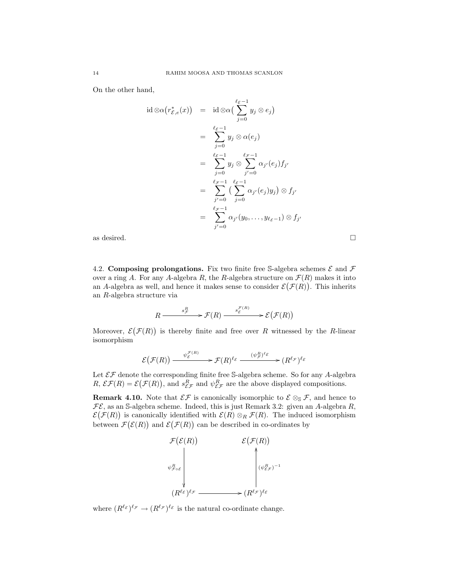On the other hand,

$$
\operatorname{id} \otimes \alpha(r_{\mathcal{E},e}^*(x)) = \operatorname{id} \otimes \alpha\left(\sum_{j=0}^{\ell_{\mathcal{E}}-1} y_j \otimes e_j\right)
$$
  
\n
$$
= \sum_{j=0}^{\ell_{\mathcal{E}}-1} y_j \otimes \alpha(e_j)
$$
  
\n
$$
= \sum_{j=0}^{\ell_{\mathcal{E}}-1} y_j \otimes \sum_{j'=0}^{\ell_{\mathcal{F}}-1} \alpha_{j'}(e_j) f_{j'}
$$
  
\n
$$
= \sum_{j'=0}^{\ell_{\mathcal{F}}-1} \left(\sum_{j=0}^{\ell_{\mathcal{E}}-1} \alpha_{j'}(e_j) y_j\right) \otimes f_{j'}
$$
  
\n
$$
= \sum_{j'=0}^{\ell_{\mathcal{F}}-1} \alpha_{j'}(y_0, \dots, y_{\ell_{\mathcal{E}}-1}) \otimes f_{j'}
$$

as desired.  $\Box$ 

4.2. Composing prolongations. Fix two finite free S-algebra schemes  $\mathcal E$  and  $\mathcal F$ over a ring A. For any A-algebra R, the R-algebra structure on  $\mathcal{F}(R)$  makes it into an A-algebra as well, and hence it makes sense to consider  $\mathcal{E}(\mathcal{F}(R))$ . This inherits an R-algebra structure via

$$
R \xrightarrow{\qquad s_{\mathcal{F}}^R} \mathcal{F}(R) \xrightarrow{\qquad s_{\mathcal{E}}^{\mathcal{F}(R)}} \mathcal{E}(\mathcal{F}(R))
$$

Moreover,  $\mathcal{E}(\mathcal{F}(R))$  is thereby finite and free over R witnessed by the R-linear isomorphism

$$
\mathcal{E}\big(\mathcal{F}(R)\big) \xrightarrow{\psi_{\mathcal{E}}^{\mathcal{F}(R)}} \mathcal{F}(R)^{\ell_{\mathcal{E}}} \xrightarrow{(\psi_{\mathcal{F}}^R)^{\ell_{\mathcal{E}}}} (R^{\ell_{\mathcal{F}}})^{\ell_{\mathcal{E}}}
$$

Let  $\mathcal{EF}$  denote the corresponding finite free S-algebra scheme. So for any A-algebra  $R$ ,  $\mathcal{EF}(R) = \mathcal{E}(\mathcal{F}(R))$ , and  $s_{\mathcal{EF}}^R$  and  $\psi_{\mathcal{EF}}^R$  are the above displayed compositions.

**Remark 4.10.** Note that  $\mathcal{EF}$  is canonically isomorphic to  $\mathcal{E} \otimes_{\mathbb{S}} \mathcal{F}$ , and hence to  $\mathcal{FE}$ , as an S-algebra scheme. Indeed, this is just Remark 3.2: given an A-algebra  $R$ ,  $\mathcal{E}(\mathcal{F}(R))$  is canonically identified with  $\mathcal{E}(R) \otimes_R \mathcal{F}(R)$ . The induced isomorphism between  $\mathcal{F}(\mathcal{E}(R))$  and  $\mathcal{E}(\mathcal{F}(R))$  can be described in co-ordinates by



where  $(R^{\ell_{\mathcal{E}}})^{\ell_{\mathcal{F}}} \to (R^{\ell_{\mathcal{F}}})^{\ell_{\mathcal{E}}}$  is the natural co-ordinate change.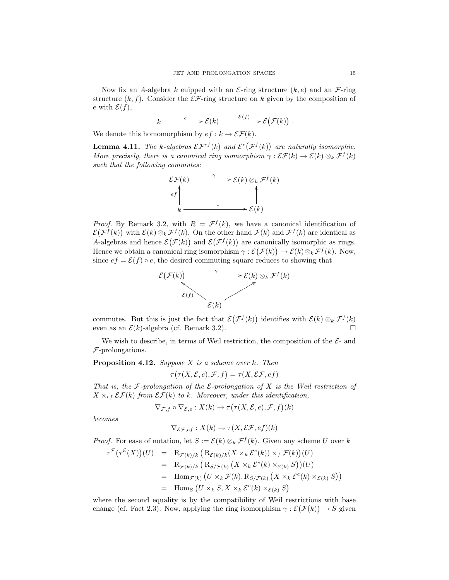Now fix an A-algebra k euipped with an  $\mathcal{E}\text{-ring}$  structure  $(k, e)$  and an  $\mathcal{F}\text{-ring}$ structure  $(k, f)$ . Consider the  $\mathcal{E} \mathcal{F}$ -ring structure on k given by the composition of e with  $\mathcal{E}(f)$ ,

$$
k \xrightarrow{e} \mathcal{E}(k) \xrightarrow{\mathcal{E}(f)} \mathcal{E}(\mathcal{F}(k)) .
$$

We denote this homomorphism by  $ef : k \to \mathcal{EF}(k)$ .

**Lemma 4.11.** The k-algebras  $\mathcal{EF}^{\epsilon f}(k)$  and  $\mathcal{E}^{\epsilon(f(k))}$  are naturally isomorphic. More precisely, there is a canonical ring isomorphism  $\gamma : \mathcal{EF}(k) \to \mathcal{E}(k) \otimes_k \mathcal{F}^f(k)$ such that the following commutes:



*Proof.* By Remark 3.2, with  $R = \mathcal{F}^f(k)$ , we have a canonical identification of  $\mathcal{E}(\mathcal{F}^f(k))$  with  $\mathcal{E}(k) \otimes_k \mathcal{F}^f(k)$ . On the other hand  $\mathcal{F}(k)$  and  $\mathcal{F}^f(k)$  are identical as A-algebras and hence  $\mathcal{E}(\mathcal{F}(k))$  and  $\mathcal{E}(\mathcal{F}^f(k))$  are canonically isomorphic as rings. Hence we obtain a canonical ring isomorphism  $\gamma : \mathcal{E}(\mathcal{F}(k)) \to \mathcal{E}(k) \otimes_k \mathcal{F}^f(k)$ . Now, since  $ef = \mathcal{E}(f) \circ e$ , the desired commuting square reduces to showing that



commutes. But this is just the fact that  $\mathcal{E}(\mathcal{F}^f(k))$  identifies with  $\mathcal{E}(k) \otimes_k \mathcal{F}^f(k)$ even as an  $\mathcal{E}(k)$ -algebra (cf. Remark 3.2).

We wish to describe, in terms of Weil restriction, the composition of the  $\mathcal{E}$ - and F-prolongations.

**Proposition 4.12.** Suppose  $X$  is a scheme over  $k$ . Then

$$
\tau(\tau(X, \mathcal{E}, e), \mathcal{F}, f) = \tau(X, \mathcal{EF}, ef)
$$

That is, the F-prolongation of the  $\mathcal E$ -prolongation of X is the Weil restriction of  $X \times_{ef} \mathcal{EF}(k)$  from  $\mathcal{EF}(k)$  to k. Moreover, under this identification,

$$
\nabla_{\mathcal{F},f} \circ \nabla_{\mathcal{E},e} : X(k) \to \tau(\tau(X,\mathcal{E},e),\mathcal{F},f)(k)
$$

becomes

$$
\nabla_{\mathcal{EF},ef}: X(k) \to \tau(X, \mathcal{EF}, ef)(k)
$$

*Proof.* For ease of notation, let  $S := \mathcal{E}(k) \otimes_k \mathcal{F}^f(k)$ . Given any scheme U over k

$$
\tau^{\mathcal{F}}(\tau^{\mathcal{E}}(X))(U) = R_{\mathcal{F}(k)/k} (R_{\mathcal{E}(k)/k}(X \times_k \mathcal{E}^e(k)) \times_f \mathcal{F}(k))(U)
$$
  
\n
$$
= R_{\mathcal{F}(k)/k} (R_{S/\mathcal{F}(k)} (X \times_k \mathcal{E}^e(k) \times_{\mathcal{E}(k)} S))(U)
$$
  
\n
$$
= \text{Hom}_{\mathcal{F}(k)} (U \times_k \mathcal{F}(k), R_{S/\mathcal{F}(k)} (X \times_k \mathcal{E}^e(k) \times_{\mathcal{E}(k)} S))
$$
  
\n
$$
= \text{Hom}_S (U \times_k S, X \times_k \mathcal{E}^e(k) \times_{\mathcal{E}(k)} S)
$$

where the second equality is by the compatibility of Weil restrictions with base change (cf. Fact 2.3). Now, applying the ring isomorphism  $\gamma : \mathcal{E}(\mathcal{F}(k)) \to S$  given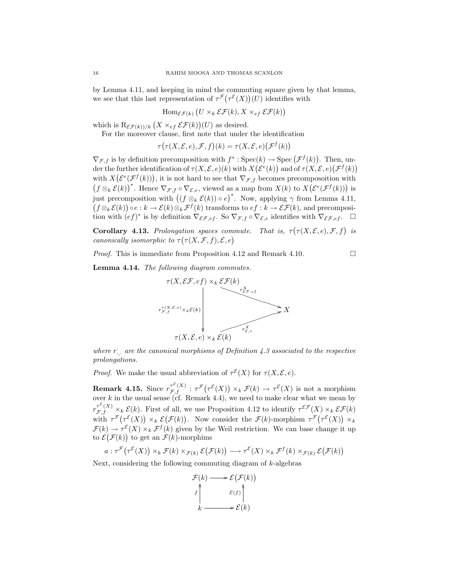by Lemma 4.11, and keeping in mind the commuting square given by that lemma, we see that this last representation of  $\tau^{\mathcal{F}}(\tau^{\mathcal{E}}(X))(U)$  identifies with

$$
\operatorname{Hom}_{\mathcal{EF}(k)} (U \times_k \mathcal{EF}(k), X \times_{ef} \mathcal{EF}(k))
$$

which is  $\mathrm{R}_{\mathcal{EF}(k))/k}$   $(X \times_{ef} \mathcal{EF}(k))(U)$  as desired.

For the moreover clause, first note that under the identification

$$
\tau(\tau(X, \mathcal{E}, e), \mathcal{F}, f)(k) = \tau(X, \mathcal{E}, e)(\mathcal{F}^f(k))
$$

 $\nabla_{\mathcal{F},f}$  is by definition precomposition with  $f^* : \text{Spec}(k) \to \text{Spec}(\mathcal{F}^f(k))$ . Then, under the further identification of  $\tau(X, \mathcal{E}, e)(k)$  with  $X(\mathcal{E}^e(k))$  and of  $\tau(X, \mathcal{E}, e)(\mathcal{F}^f(k))$ with  $X(\mathcal{E}^e(\mathcal{F}^f(k)))$ , it is not hard to see that  $\nabla_{\mathcal{F},f}$  becomes precomposoition with  $(f \otimes_k \mathcal{E}(k))^*$ . Hence  $\nabla_{\mathcal{F},f} \circ \nabla_{\mathcal{E},e}$ , viewed as a map from  $X(k)$  to  $X(\mathcal{E}^e(\mathcal{F}^f(k)))$  is just precomposition with  $((f \otimes_k \mathcal{E}(k)) \circ e)^*$ . Now, applying  $\gamma$  from Lemma 4.11,  $(f \otimes_k \mathcal{E}(k)) \circ e : k \to \mathcal{E}(k) \otimes_k \mathcal{F}^f(k)$  transforms to  $ef : k \to \mathcal{EF}(k)$ , and precomposition with  $(ef)^*$  is by definition  $\nabla_{\mathcal{E} \mathcal{F}, e f}$ . So  $\nabla_{\mathcal{F}, f} \circ \nabla_{\mathcal{E}, e}$  identifies with  $\nabla_{\mathcal{E} \mathcal{F}, e f}$ .  $\square$ 

**Corollary 4.13.** Prolongation spaces commute. That is,  $\tau(\tau(X, \mathcal{E}, e), \mathcal{F}, f)$  is canonically isomorphic to  $\tau(\tau(X,\mathcal{F},f),\mathcal{E},e)$ 

*Proof.* This is immediate from Proposition 4.12 and Remark 4.10.

Lemma 4.14. The following diagram commutes.



where  $r_{\cdot,\cdot}$  are the canonical morphisms of Definition 4.3 associated to the respective prolongations.

*Proof.* We make the usual abbreviation of  $\tau^{\mathcal{E}}(X)$  for  $\tau(X, \mathcal{E}, e)$ .

**Remark 4.15.** Since  $r_{\mathcal{F},f}^{\tau^{\mathcal{E}}(X)}$  :  $\tau^{\mathcal{F}}(\tau^{\mathcal{E}}(X)) \times_k \mathcal{F}(k) \to \tau^{\mathcal{E}}(X)$  is not a morphism over  $k$  in the usual sense (cf. Remark 4.4), we need to make clear what we mean by  $r_{\mathcal{F},f}^{\tau^{\mathcal{E}}(X)} \times_k \mathcal{E}(k)$ . First of all, we use Proposition 4.12 to identify  $\tau^{\mathcal{EF}}(X) \times_k \mathcal{EF}(k)$ with  $\tau^{\mathcal{F}}(\tau^{\mathcal{E}}(X)) \times_k \mathcal{E}(\mathcal{F}(k))$ . Now consider the  $\mathcal{F}(k)$ -morphism  $\tau^{\mathcal{F}}(\tau^{\mathcal{E}}(X)) \times_k$  $\mathcal{F}(k) \to \tau^{\mathcal{E}}(X) \times_k \mathcal{F}^f(k)$  given by the Weil restriction. We can base change it up to  $\mathcal{E}(\mathcal{F}(k))$  to get an  $\mathcal{F}(k)$ -morphims

$$
a: \tau^{\mathcal{F}}(\tau^{\mathcal{E}}(X)) \times_k \mathcal{F}(k) \times_{\mathcal{F}(k)} \mathcal{E}(\mathcal{F}(k)) \longrightarrow \tau^{\mathcal{E}}(X) \times_k \mathcal{F}^f(k) \times_{\mathcal{F}(k)} \mathcal{E}(\mathcal{F}(k))
$$

Next, considering the following commuting diagram of  $k$ -algebras

$$
\mathcal{F}(k) \longrightarrow \mathcal{E}(\mathcal{F}(k))
$$
\n
$$
f \uparrow \qquad \qquad \mathcal{E}(f) \uparrow \qquad \qquad \mathcal{E}(k)
$$
\n
$$
k \longrightarrow \mathcal{E}(k)
$$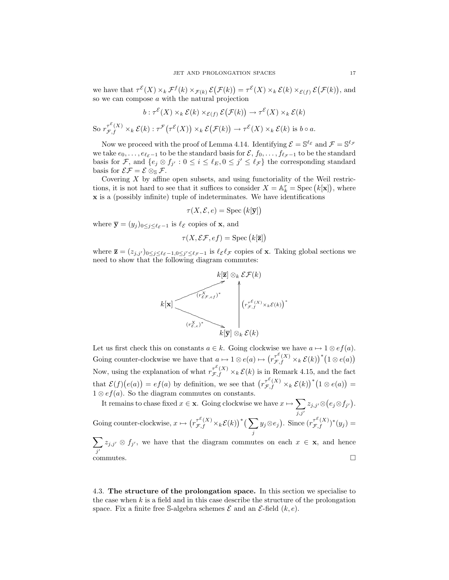we have that  $\tau^{\mathcal{E}}(X) \times_k \mathcal{F}^f(k) \times_{\mathcal{F}(k)} \mathcal{E}(\mathcal{F}(k)) = \tau^{\mathcal{E}}(X) \times_k \mathcal{E}(k) \times_{\mathcal{E}(f)} \mathcal{E}(\mathcal{F}(k)),$  and so we can compose a with the natural projection

$$
b: \tau^{\varepsilon}(X) \times_{k} \mathcal{E}(k) \times_{\varepsilon(f)} \mathcal{E}(\mathcal{F}(k)) \to \tau^{\varepsilon}(X) \times_{k} \mathcal{E}(k)
$$
  
So  $r^{\tau^{\varepsilon}(X)}_{\mathcal{F},f} \times_{k} \mathcal{E}(k): \tau^{\mathcal{F}}(\tau^{\varepsilon}(X)) \times_{k} \mathcal{E}(\mathcal{F}(k)) \to \tau^{\varepsilon}(X) \times_{k} \mathcal{E}(k)$  is  $b \circ a$ .

Now we proceed with the proof of Lemma 4.14. Identifying  $\mathcal{E} = \mathbb{S}^{\ell_{\mathcal{E}}}$  and  $\mathcal{F} = \mathbb{S}^{\ell_{\mathcal{F}}}$ we take  $e_0, \ldots, e_{\ell_{\mathcal{E}}-1}$  to be the standard basis for  $\mathcal{E}, f_0, \ldots, f_{\ell_{\mathcal{F}}-1}$  to be the standard basis for F, and  $\{e_j \otimes f_{j'} : 0 \leq i \leq \ell_E, 0 \leq j' \leq \ell_F\}$  the corresponding standard basis for  $\mathcal{E}\mathcal{F} = \mathcal{E}\otimes_{\mathbb{S}}\mathcal{F}$ .

Covering  $X$  by affine open subsets, and using functoriality of the Weil restrictions, it is not hard to see that it suffices to consider  $X = \mathbb{A}_k^r = \text{Spec} (k[\mathbf{x}])$ , where x is a (possibly infinite) tuple of indeterminates. We have identifications

$$
\tau(X, \mathcal{E}, e) = \text{Spec}\left(k[\overline{\mathbf{y}}]\right)
$$

where  $\bar{\mathbf{y}} = (y_j)_{0 \leq j \leq \ell_{\mathcal{E}}-1}$  is  $\ell_{\mathcal{E}}$  copies of **x**, and

$$
\tau(X, \mathcal{EF}, ef) = \text{Spec}\left(k[\mathbf{\overline{z}}]\right)
$$

where  $\overline{\mathbf{z}} = (z_{j,j'})_{0 \leq j \leq \ell_{\mathcal{E}}-1,0 \leq j' \leq \ell_{\mathcal{F}}-1}$  is  $\ell_{\mathcal{E}} \ell_{\mathcal{F}}$  copies of **x**. Taking global sections we need to show that the following diagram commutes:



Let us first check this on constants  $a \in k$ . Going clockwise we have  $a \mapsto 1 \otimes e f(a)$ . Going counter-clockwise we have that  $a \mapsto 1 \otimes e(a) \mapsto (r_{\mathcal{F},f}^{\tau^{\mathcal{E}}(X)} \times_k \mathcal{E}(k))^{*} (1 \otimes e(a))$ Now, using the explanation of what  $r_{\mathcal{F},f}^{\mathcal{F}(X)} \times_k \mathcal{E}(k)$  is in Remark 4.15, and the fact that  $\mathcal{E}(f)(e(a)) = ef(a)$  by definition, we see that  $(r_{\mathcal{F},f}^{\mathcal{E}(X)} \times_k \mathcal{E}(k))^*(1 \otimes e(a)) =$  $1 \otimes ef(a)$ . So the diagram commutes on constants.

It remains to chase fixed  $x \in \mathbf{x}$ . Going clockwise we have  $x \mapsto \sum$  $j,j'$  $z_{j,j'}\otimes (e_j\!\otimes\! f_{j'}).$ Going counter-clockwise,  $x \mapsto (r_{\mathcal{F},f}^{\tau^{\mathcal{E}}(X)} \times_k \mathcal{E}(k))^*$  ( $\sum$ j  $y_j \otimes e_j$ ). Since  $(r_{\mathcal{F},f}^{\tau^{\mathcal{E}}(X)})^*(y_j) =$  $\sum$  $\sum_{j'} z_{j,j'} \otimes f_{j'}$ , we have that the diagram commutes on each  $x \in \mathbf{x}$ , and hence  $\overline{\text{commutes.}}$ 

4.3. The structure of the prolongation space. In this section we specialise to the case when  $k$  is a field and in this case describe the structure of the prolongation space. Fix a finite free S-algebra schemes  $\mathcal E$  and an  $\mathcal E$ -field  $(k, e)$ .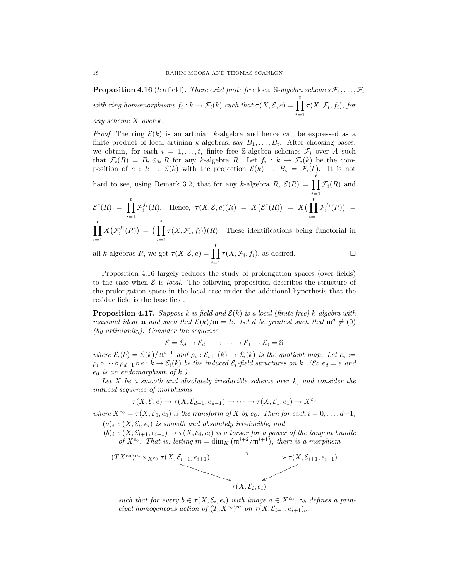**Proposition 4.16** (k a field). There exist finite free local S-algebra schemes  $\mathcal{F}_1, \ldots, \mathcal{F}_t$ with ring homomorphisms  $f_i : k \to \mathcal{F}_i(k)$  such that  $\tau(X, \mathcal{E}, e) = \prod^t$  $i=1$  $\tau(X, \mathcal{F}_i, f_i)$ , for any scheme X over k.

*Proof.* The ring  $\mathcal{E}(k)$  is an artinian k-algebra and hence can be expressed as a finite product of local artinian k-algebras, say  $B_1, \ldots, B_t$ . After choosing bases, we obtain, for each  $i = 1, \ldots, t$ , finite free S-algebra schemes  $\mathcal{F}_i$  over A such that  $\mathcal{F}_i(R) = B_i \otimes_k R$  for any k-algebra R. Let  $f_i : k \to \mathcal{F}_i(k)$  be the composition of  $e : k \to \mathcal{E}(k)$  with the projection  $\mathcal{E}(k) \to B_i = \mathcal{F}_i(k)$ . It is not

hard to see, using Remark 3.2, that for any k-algebra  $R$ ,  $\mathcal{E}(R) = \prod_{k=1}^{t}$  $i=1$  $\mathcal{F}_i(R)$  and

$$
\mathcal{E}^{e}(R) = \prod_{i=1}^{t} \mathcal{F}_{i}^{f_{i}}(R). \quad \text{Hence, } \tau(X, \mathcal{E}, e)(R) = X(\mathcal{E}^{e}(R)) = X(\prod_{i=1}^{t} \mathcal{F}_{i}^{f_{i}}(R)) = \prod_{i=1}^{t} X(\mathcal{F}^{f_{i}}(R)) = (\prod_{i=1}^{t} \tau(X, \mathcal{F}_{i}, f_{i}))(R). \quad \text{These identifications being functorial in}
$$

 $i=1$  $X\big(\mathcal{F}^{f_i}_i(R)\big) \,=\, \big(\prod^t$  $i=1$  $\tau(X, \mathcal{F}_i, f_i)(R)$ . These identifications being functorial in

all k-algebras R, we get  $\tau(X, \mathcal{E}, e) = \prod^t$  $i=1$  $\tau(X, \mathcal{F}_i, f_i)$ , as desired.

Proposition 4.16 largely reduces the study of prolongation spaces (over fields) to the case when  $\mathcal E$  is *local.* The following proposition describes the structure of the prolongation space in the local case under the additional hypothesis that the residue field is the base field.

**Proposition 4.17.** Suppose k is field and  $\mathcal{E}(k)$  is a local (finite free) k-algebra with maximal ideal m and such that  $\mathcal{E}(k)/m = k$ . Let d be greatest such that  $m^d \neq (0)$ (by artinianity). Consider the sequence

 $\mathcal{E} = \mathcal{E}_d \rightarrow \mathcal{E}_{d-1} \rightarrow \cdots \rightarrow \mathcal{E}_1 \rightarrow \mathcal{E}_0 = \mathbb{S}$ 

where  $\mathcal{E}_i(k) = \mathcal{E}(k)/\mathfrak{m}^{i+1}$  and  $\rho_i : \mathcal{E}_{i+1}(k) \to \mathcal{E}_i(k)$  is the quotient map. Let  $e_i :=$  $\rho_i \circ \cdots \circ \rho_{d-1} \circ e : k \to \mathcal{E}_i(k)$  be the induced  $\mathcal{E}_i$ -field structures on k. (So  $e_d = e$  and  $e_0$  is an endomorphism of k.)

Let  $X$  be a smooth and absolutely irreducible scheme over  $k$ , and consider the induced sequence of morphisms

$$
\tau(X, \mathcal{E}, e) \to \tau(X, \mathcal{E}_{d-1}, e_{d-1}) \to \cdots \to \tau(X, \mathcal{E}_1, e_1) \to X^{e_0}
$$

where  $X^{e_0} = \tau(X, \mathcal{E}_0, e_0)$  is the transform of X by  $e_0$ . Then for each  $i = 0, \ldots, d-1$ ,  $(a)_i \tau(X, \mathcal{E}_i, e_i)$  is smooth and absolutely irreducible, and

 $(b)_i \tau(X, \mathcal{E}_{i+1}, e_{i+1}) \to \tau(X, \mathcal{E}_i, e_i)$  is a torsor for a power of the tangent bundle of  $X^{e_0}$ . That is, letting  $m = \dim_K (\mathfrak{m}^{i+2}/\mathfrak{m}^{i+1})$ , there is a morphism



such that for every  $b \in \tau(X, \mathcal{E}_i, e_i)$  with image  $a \in X^{e_0}$ ,  $\gamma_b$  defines a principal homogeneous action of  $(T_a X^{e_0})^m$  on  $\tau(X, \mathcal{E}_{i+1}, e_{i+1})_b$ .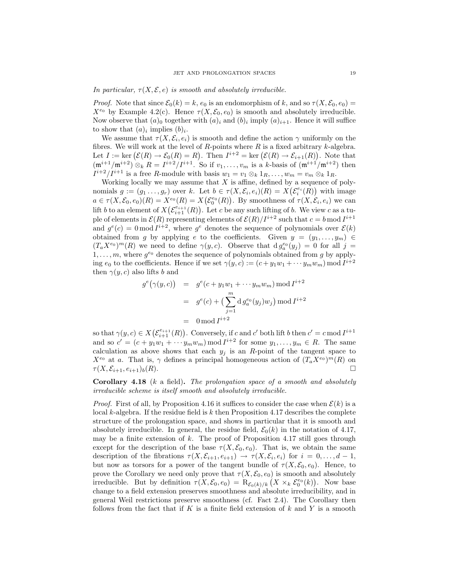In particular,  $\tau(X, \mathcal{E}, e)$  is smooth and absolutely irreducible.

*Proof.* Note that since  $\mathcal{E}_0(k) = k$ ,  $e_0$  is an endomorphism of k, and so  $\tau(X, \mathcal{E}_0, e_0) =$  $X^{e_0}$  by Example 4.2(c). Hence  $\tau(X, \mathcal{E}_0, e_0)$  is smooth and absolutely irreducible. Now observe that  $(a)_0$  together with  $(a)_i$  and  $(b)_i$  imply  $(a)_{i+1}$ . Hence it will suffice to show that  $(a)_i$  implies  $(b)_i$ .

We assume that  $\tau(X, \mathcal{E}_i, e_i)$  is smooth and define the action  $\gamma$  uniformly on the fibres. We will work at the level of  $R$ -points where  $R$  is a fixed arbitrary  $k$ -algebra. Let  $I := \text{ker}(\mathcal{E}(R) \to \mathcal{E}_0(R) = R)$ . Then  $I^{i+2} = \text{ker}(\mathcal{E}(R) \to \mathcal{E}_{i+1}(R))$ . Note that  $(\mathfrak{m}^{i+1}/\mathfrak{m}^{i+2}) \otimes_k R = I^{i+2}/I^{i+1}$ . So if  $v_1, \ldots, v_m$  is a k-basis of  $(\mathfrak{m}^{i+1}/\mathfrak{m}^{i+2})$  then  $I^{i+2}/I^{i+1}$  is a free R-module with basis  $w_1 = v_1 \otimes_k 1_R, \ldots, w_m = v_m \otimes_k 1_R$ .

Working locally we may assume that  $X$  is affine, defined by a sequence of polynomials  $g := (g_1 \ldots, g_r)$  over k. Let  $b \in \tau(X, \mathcal{E}_i, e_i)(R) = X(\mathcal{E}_i^{e_i}(R))$  with image  $a \in \tau(X, \mathcal{E}_0, e_0)(R) = X^{e_0}(R) = X(\mathcal{E}_0^{e_0}(R))$ . By smoothness of  $\tau(X, \mathcal{E}_i, e_i)$  we can lift b to an element of  $X(\mathcal{E}_{i+1}^{e_{i+1}}(R))$ . Let c be any such lifting of b. We view c as a tuple of elements in  $\mathcal{E}(R)$  representing elements of  $\mathcal{E}(R)/I^{i+2}$  such that  $c = b \mod I^{i+1}$ and  $g^{e}(c) = 0 \mod I^{i+2}$ , where  $g^{e}$  denotes the sequence of polynomials over  $\mathcal{E}(k)$ obtained from g by applying e to the coefficients. Given  $y = (y_1, \ldots, y_m) \in$  $(T_a X^{e_0})^m(R)$  we need to define  $\gamma(y, c)$ . Observe that  $dg_a^{e_0}(y_j) = 0$  for all  $j =$  $1, \ldots, m$ , where  $g^{e_0}$  denotes the sequence of polynomials obtained from g by applying  $e_0$  to the coefficients. Hence if we set  $\gamma(y, c) := (c + y_1 w_1 + \cdots y_m w_m) \mod I^{i+2}$ then  $\gamma(y, c)$  also lifts b and

$$
g^{e}(\gamma(y, c)) = g^{e}(c + y_{1}w_{1} + \cdots y_{m}w_{m}) \bmod I^{i+2}
$$
  
= 
$$
g^{e}(c) + \left(\sum_{j=1}^{m} d g_{a}^{e_{0}}(y_{j})w_{j}\right) \bmod I^{i+2}
$$
  
= 
$$
0 \bmod I^{i+2}
$$

so that  $\gamma(y, c) \in X(\mathcal{E}_{i+1}^{e_{i+1}}(R))$ . Conversely, if c and c' both lift b then  $c' = c \mod I^{i+1}$ and so  $c' = (c + y_1w_1 + \cdots y_mw_m) \mod I^{i+2}$  for some  $y_1, \ldots, y_m \in R$ . The same calculation as above shows that each  $y_i$  is an R-point of the tangent space to  $X^{e_0}$  at a. That is,  $\gamma$  defines a principal homogeneous action of  $(T_a X^{e_0})^m(R)$  on  $\tau(X, \mathcal{E}_{i+1}, e_{i+1})_b(R).$ 

Corollary 4.18 (k a field). The prolongation space of a smooth and absolutely irreducible scheme is itself smooth and absolutely irreducible.

*Proof.* First of all, by Proposition 4.16 it suffices to consider the case when  $\mathcal{E}(k)$  is a local  $k$ -algebra. If the residue field is  $k$  then Proposition 4.17 describes the complete structure of the prolongation space, and shows in particular that it is smooth and absolutely irreducible. In general, the residue field,  $\mathcal{E}_0(k)$  in the notation of 4.17, may be a finite extension of  $k$ . The proof of Proposition 4.17 still goes through except for the description of the base  $\tau(X, \mathcal{E}_0, e_0)$ . That is, we obtain the same description of the fibrations  $\tau(X, \mathcal{E}_{i+1}, e_{i+1}) \to \tau(X, \mathcal{E}_i, e_i)$  for  $i = 0, \ldots, d-1$ , but now as torsors for a power of the tangent bundle of  $\tau(X, \mathcal{E}_0, e_0)$ . Hence, to prove the Corollary we need only prove that  $\tau(X, \mathcal{E}_0, e_0)$  is smooth and absolutely irreducible. But by definition  $\tau(X, \mathcal{E}_0, e_0) = \mathcal{R}_{\mathcal{E}_0(k)/k} (X \times_k \mathcal{E}_0^{e_0}(k))$ . Now base change to a field extension preserves smoothness and absolute irreducibility, and in general Weil restrictions preserve smoothness (cf. Fact 2.4). The Corollary then follows from the fact that if K is a finite field extension of  $k$  and Y is a smooth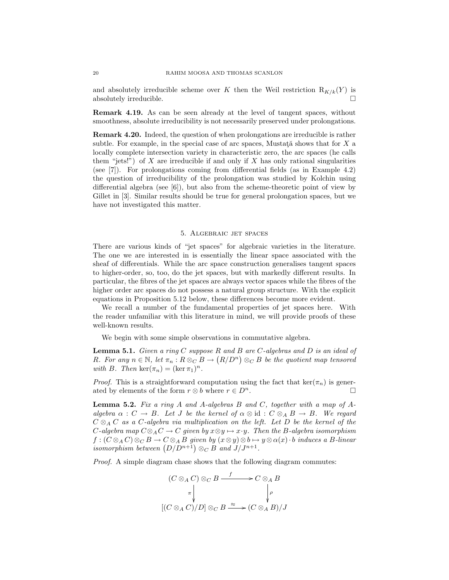and absolutely irreducible scheme over K then the Weil restriction  $R_{K/k}(Y)$  is absolutely irreducible.  $\Box$ 

Remark 4.19. As can be seen already at the level of tangent spaces, without smoothness, absolute irreducibility is not necessarily preserved under prolongations.

Remark 4.20. Indeed, the question of when prolongations are irreducible is rather subtle. For example, in the special case of arc spaces, Mustata shows that for  $X$  a locally complete intersection variety in characteristic zero, the arc spaces (he calls them "jets!") of  $X$  are irreducible if and only if  $X$  has only rational singularities (see [7]). For prolongations coming from differential fields (as in Example 4.2) the question of irreducibility of the prolongation was studied by Kolchin using differential algebra (see [6]), but also from the scheme-theoretic point of view by Gillet in [3]. Similar results should be true for general prolongation spaces, but we have not investigated this matter.

## 5. Algebraic jet spaces

There are various kinds of "jet spaces" for algebraic varieties in the literature. The one we are interested in is essentially the linear space associated with the sheaf of differentials. While the arc space construction generalises tangent spaces to higher-order, so, too, do the jet spaces, but with markedly different results. In particular, the fibres of the jet spaces are always vector spaces while the fibres of the higher order arc spaces do not possess a natural group structure. With the explicit equations in Proposition 5.12 below, these differences become more evident.

We recall a number of the fundamental properties of jet spaces here. With the reader unfamiliar with this literature in mind, we will provide proofs of these well-known results.

We begin with some simple observations in commutative algebra.

**Lemma 5.1.** Given a ring C suppose R and B are C-algebras and D is an ideal of R. For any  $n \in \mathbb{N}$ , let  $\pi_n : R \otimes_C B \to (R/D^n) \otimes_C B$  be the quotient map tensored with B. Then  $\ker(\pi_n) = (\ker \pi_1)^n$ .

*Proof.* This is a straightforward computation using the fact that ker( $\pi_n$ ) is generated by elements of the form  $r \otimes b$  where  $r \in D^n$ .

**Lemma 5.2.** Fix a ring A and A-algebras B and C, together with a map of Aalgebra  $\alpha : C \to B$ . Let J be the kernel of  $\alpha \otimes id : C \otimes_A B \to B$ . We regard  $C \otimes_A C$  as a C-algebra via multiplication on the left. Let D be the kernel of the C-algebra map  $C \otimes_A C \to C$  given by  $x \otimes y \mapsto x \cdot y$ . Then the B-algebra isomorphism  $f: (C \otimes_A C) \otimes_C B \to C \otimes_A B$  given by  $(x \otimes y) \otimes b \mapsto y \otimes \alpha(x) \cdot b$  induces a B-linear isomorphism between  $(D/D^{n+1}) \otimes_C B$  and  $J/J^{n+1}$ .

Proof. A simple diagram chase shows that the following diagram commutes:

$$
(C \otimes_A C) \otimes_C B \xrightarrow{f} C \otimes_A B
$$
  
\n
$$
\pi \downarrow \qquad \qquad \downarrow \qquad \qquad \downarrow \qquad \qquad \downarrow
$$
  
\n
$$
[(C \otimes_A C)/D] \otimes_C B \xrightarrow{\approx} (C \otimes_A B)/J
$$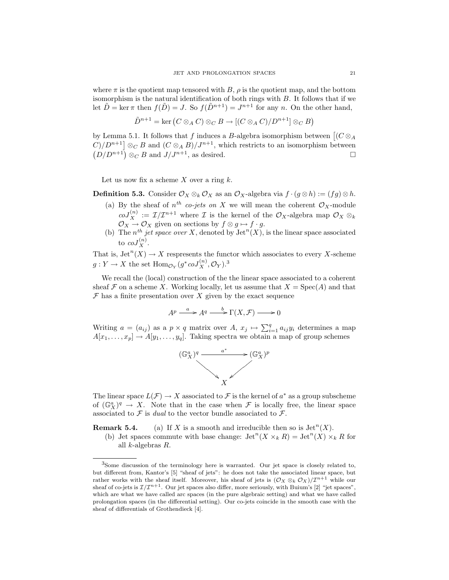where  $\pi$  is the quotient map tensored with B,  $\rho$  is the quotient map, and the bottom isomorphism is the natural identification of both rings with B. It follows that if we let  $\tilde{D} = \ker \pi$  then  $f(\tilde{D}) = J$ . So  $f(\tilde{D}^{n+1}) = J^{n+1}$  for any n. On the other hand,

$$
\tilde{D}^{n+1} = \ker (C \otimes_A C) \otimes_C B \to [(C \otimes_A C)/D^{n+1}] \otimes_C B)
$$

by Lemma 5.1. It follows that f induces a B-algebra isomorphism between  $\left[ (C \otimes_A) \right]$  $C)/D^{n+1}$   $\otimes_C B$  and  $(C \otimes_A B)/J^{n+1}$ , which restricts to an isomorphism between  $(D/D^{n+1}) \otimes_C B$  and  $J/J^{n+1}$ , as desired.

Let us now fix a scheme  $X$  over a ring  $k$ .

**Definition 5.3.** Consider  $\mathcal{O}_X \otimes_k \mathcal{O}_X$  as an  $\mathcal{O}_X$ -algebra via  $f \cdot (g \otimes h) := (fg) \otimes h$ .

- (a) By the sheaf of  $n^{th}$  co-jets on X we will mean the coherent  $\mathcal{O}_X$ -module  $coJ_X^{(n)} := \mathcal{I}/\mathcal{I}^{n+1}$  where  $\mathcal I$  is the kernel of the  $\mathcal O_X$ -algebra map  $\mathcal O_X \otimes_k$  $\mathcal{O}_X \to \mathcal{O}_X$  given on sections by  $f \otimes g \mapsto f \cdot g$ .
- (b) The  $n^{th}$  jet space over X, denoted by  $\mathrm{Jet}^n(X)$ , is the linear space associated to  $coJ_X^{(n)}$ .

That is,  $\mathrm{Jet}^n(X) \to X$  respresents the functor which associates to every X-scheme  $g: Y \to X$  the set  $\text{Hom}_{\mathcal{O}_Y}(g^* \text{co} J_X^{(n)}, \mathcal{O}_Y).^3$ 

We recall the (local) construction of the the linear space associated to a coherent sheaf F on a scheme X. Working locally, let us assume that  $X = \text{Spec}(A)$  and that  $\mathcal F$  has a finite presentation over X given by the exact sequence

$$
A^p \xrightarrow{a} A^q \xrightarrow{b} \Gamma(X, \mathcal{F}) \longrightarrow 0
$$

Writing  $a = (a_{ij})$  as a  $p \times q$  matrix over  $A, x_j \mapsto \sum_{i=1}^q a_{ij}y_i$  determines a map  $A[x_1, \ldots, x_p] \rightarrow A[y_1, \ldots, y_q]$ . Taking spectra we obtain a map of group schemes



The linear space  $L(\mathcal{F}) \to X$  associated to  $\mathcal F$  is the kernel of  $a^*$  as a group subscheme of  $(\mathbb{G}_X^a)^q \to X$ . Note that in the case when F is locally free, the linear space associated to  $\mathcal F$  is *dual* to the vector bundle associated to  $\mathcal F$ .

**Remark 5.4.** (a) If X is a smooth and irreducible then so is  $\mathrm{Jet}^n(X)$ .

(b) Jet spaces commute with base change:  $\mathrm{Jet}^n(X\times_k R)=\mathrm{Jet}^n(X)\times_k R$  for all k-algebras R.

<sup>3</sup>Some discussion of the terminology here is warranted. Our jet space is closely related to, but different from, Kantor's [5] "sheaf of jets": he does not take the associated linear space, but rather works with the sheaf itself. Moreover, his sheaf of jets is  $(\mathcal{O}_X \otimes_k \mathcal{O}_X)/\mathcal{I}^{n+1}$  while our sheaf of co-jets is  $\mathcal{I}/\mathcal{I}^{n+1}$ . Our jet spaces also differ, more seriously, with Buium's [2] "jet spaces", which are what we have called arc spaces (in the pure algebraic setting) and what we have called prolongation spaces (in the differential setting). Our co-jets coincide in the smooth case with the sheaf of differentials of Grothendieck [4].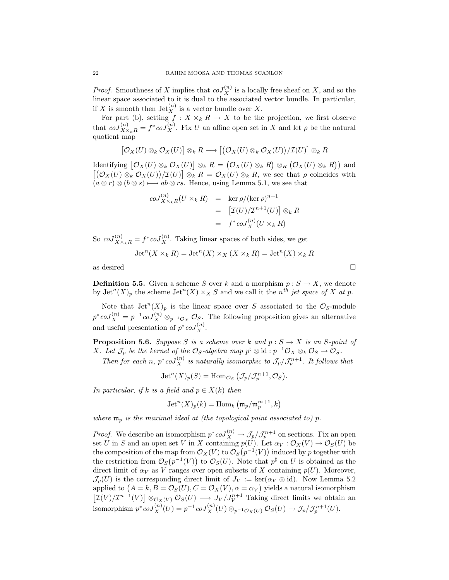*Proof.* Smoothness of X implies that  $coJ_X^{(n)}$  is a locally free sheaf on X, and so the linear space associated to it is dual to the associated vector bundle. In particular, if X is smooth then  $\mathrm{Jet}_X^{(n)}$  is a vector bundle over X.

For part (b), setting  $f : X \times_k R \to X$  to be the projection, we first observe that  $coJ_{X\times_k R}^{(n)} = f^*coJ_X^{(n)}$ . Fix U an affine open set in X and let  $\rho$  be the natural quotient map

$$
[\mathcal{O}_X(U)\otimes_k \mathcal{O}_X(U)]\otimes_k R \longrightarrow [\big(\mathcal{O}_X(U)\otimes_k \mathcal{O}_X(U)\big)/\mathcal{I}(U)]\otimes_k R
$$

Identifying  $[\mathcal{O}_X(U) \otimes_k \mathcal{O}_X(U)] \otimes_k R = (\mathcal{O}_X(U) \otimes_k R) \otimes_R (\mathcal{O}_X(U) \otimes_k R)$  and  $[(\mathcal{O}_X(U) \otimes_k \mathcal{O}_X(U))/\mathcal{I}(U)] \otimes_k R = \mathcal{O}_X(U) \otimes_k R$ , we see that  $\rho$  coincides with  $(a \otimes r) \otimes (b \otimes s) \longrightarrow ab \otimes rs$ . Hence, using Lemma 5.1, we see that

$$
coJ_{X \times_k R}^{(n)}(U \times_k R) = \ker \rho/(\ker \rho)^{n+1}
$$
  
= 
$$
[\mathcal{I}(U)/\mathcal{I}^{n+1}(U)] \otimes_k R
$$
  
= 
$$
f^* coJ_X^{(n)}(U \times_k R)
$$

So  $coJ_{X\times_k R}^{(n)} = f^* \, coJ_X^{(n)}$ . Taking linear spaces of both sides, we get

$$
\operatorname{Jet}^n(X\times_kR)=\operatorname{Jet}^n(X)\times_X(X\times_kR)=\operatorname{Jet}^n(X)\times_kR
$$

as desired  $\Box$ 

**Definition 5.5.** Given a scheme S over k and a morphism  $p : S \to X$ , we denote by  $\mathrm{Jet}^n(X)_p$  the scheme  $\mathrm{Jet}^n(X)\times_X S$  and we call it the  $n^{th}$  jet space of X at p.

Note that  $\mathrm{Jet}^n(X)_p$  is the linear space over S associated to the  $\mathcal{O}_S$ -module  $p^* \text{co} J_X^{(n)} = p^{-1} \text{co} J_X^{(n)} \otimes_{p^{-1} \mathcal{O}_X} \mathcal{O}_S$ . The following proposition gives an alternative and useful presentation of  $p^* \text{co} J_X^{(n)}$ .

**Proposition 5.6.** Suppose S is a scheme over k and  $p : S \to X$  is an S-point of X. Let  $\mathcal{J}_p$  be the kernel of the  $\mathcal{O}_S$ -algebra map  $p^{\sharp} \otimes id : p^{-1} \mathcal{O}_X \otimes_k \mathcal{O}_S \to \mathcal{O}_S$ .

Then for each n,  $p^* \text{coJ}_X^{(n)}$  is naturally isomorphic to  $\mathcal{J}_p/\mathcal{J}_p^{n+1}$ . It follows that

$$
Jet^{n}(X)_{p}(S) = \text{Hom}_{\mathcal{O}_{S}}\left(\mathcal{J}_{p}/\mathcal{J}_{p}^{n+1}, \mathcal{O}_{S}\right).
$$

In particular, if k is a field and  $p \in X(k)$  then

$$
Jet^{n}(X)_{p}(k) = \text{Hom}_{k} \left( \mathfrak{m}_{p} / \mathfrak{m}_{p}^{m+1}, k \right)
$$

where  $\mathfrak{m}_p$  is the maximal ideal at (the topological point associated to) p.

*Proof.* We describe an isomorphism  $p^* \text{co} J_X^{(n)} \to \mathcal{J}_p / \mathcal{J}_p^{n+1}$  on sections. Fix an open set U in S and an open set V in X containing  $p(U)$ . Let  $\alpha_V : \mathcal{O}_X(V) \to \mathcal{O}_S(U)$  be the composition of the map from  $\mathcal{O}_X(V)$  to  $\mathcal{O}_S(p^{-1}(V))$  induced by p together with the restriction from  $\mathcal{O}_S(p^{-1}(V))$  to  $\mathcal{O}_S(U)$ . Note that  $p^{\sharp}$  on U is obtained as the direct limit of  $\alpha_V$  as V ranges over open subsets of X containing  $p(U)$ . Moreover,  $\mathcal{J}_p(U)$  is the corresponding direct limit of  $J_V := \text{ker}(\alpha_V \otimes id)$ . Now Lemma 5.2 applied to  $(A = k, B = \mathcal{O}_S(U), C = \mathcal{O}_X(V), \alpha = \alpha_V)$  yields a natural isomorphism  $[\mathcal{I}(V)/\mathcal{I}^{n+1}(V)] \otimes_{\mathcal{O}_X(V)} \mathcal{O}_S(U) \longrightarrow J_V/J_V^{n+1}$  Taking direct limits we obtain an isomorphism  $p^* \text{coJ}_X^{(n)}(U) = p^{-1} \text{coJ}_X^{(n)}(U) \otimes_{p^{-1} \mathcal{O}_X(U)} \mathcal{O}_S(U) \to \mathcal{J}_p / \mathcal{J}_p^{n+1}(U)$ .

$$
\Box
$$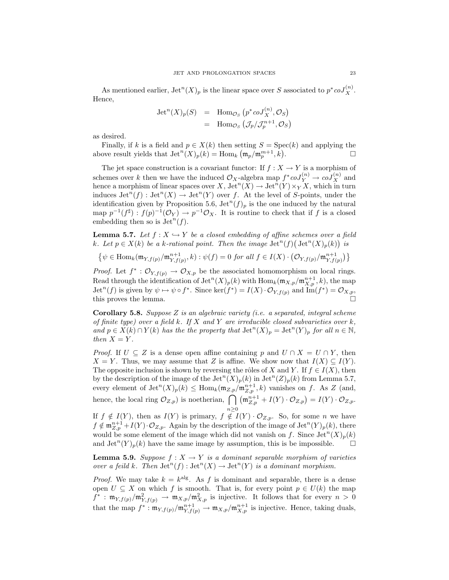As mentioned earlier,  $\mathrm{Jet}^n(X)_p$  is the linear space over S associated to  $p^* \mathrm{coJ}_X^{(n)}$ . Hence,

$$
Jet^{n}(X)_{p}(S) = \text{Hom}_{\mathcal{O}_{S}}(p^{*}coJ_{X}^{(n)}, \mathcal{O}_{S})
$$
  
= Hom <sub>$\mathcal{O}_{S}$</sub>   $(\mathcal{J}_{p}/\mathcal{J}_{p}^{n+1}, \mathcal{O}_{S})$ 

as desired.

Finally, if k is a field and  $p \in X(k)$  then setting  $S = \text{Spec}(k)$  and applying the above result yields that  $\mathrm{Jet}^n(X)_p(k) = \mathrm{Hom}_k(\mathfrak{m}_p/\mathfrak{m}_p^{m+1},k)$ .

The jet space construction is a covariant functor: If  $f: X \to Y$  is a morphism of schemes over k then we have the induced  $\mathcal{O}_X$ -algebra map  $f^*coJ_Y^{(n)} \to coJ_X^{(n)}$  and hence a morphism of linear spaces over  $X$ ,  $\mathrm{Jet}^n(X) \to \mathrm{Jet}^n(Y) \times_Y X$ , which in turn induces  $\mathrm{Jet}^n(f) : \mathrm{Jet}^n(X) \to \mathrm{Jet}^n(Y)$  over f. At the level of S-points, under the identification given by Proposition 5.6,  $\operatorname{Jet}^n(f)_p$  is the one induced by the natural map  $p^{-1}(f^{\sharp}) : f(p)^{-1}(\mathcal{O}_Y) \to p^{-1}\mathcal{O}_X$ . It is routine to check that if f is a closed embedding then so is  $\mathrm{Jet}^n(f)$ .

**Lemma 5.7.** Let  $f : X \hookrightarrow Y$  be a closed embedding of affine schemes over a field k. Let  $p \in X(k)$  be a k-rational point. Then the image  $\mathrm{Jet}^n(f)$   $(\mathrm{Jet}^n(X)_p(k))$  is

$$
\{\psi \in \text{Hom}_{k}(\mathfrak{m}_{Y,f(p)}/\mathfrak{m}_{Y,f(p)}^{n+1}, k) : \psi(f) = 0 \text{ for all } f \in I(X) \cdot (\mathcal{O}_{Y,f(p)}/\mathfrak{m}_{Y,f(p)}^{n+1})\}
$$

*Proof.* Let  $f^* : \mathcal{O}_{Y, f(p)} \to \mathcal{O}_{X, p}$  be the associated homomorphism on local rings. Read through the identification of  $\mathrm{Jet}^n(X)_p(k)$  with  $\mathrm{Hom}_k(\mathfrak{m}_{X,p}/\mathfrak{m}_{X,p}^{n+1},k)$ , the map  $\mathrm{Jet}^n(f)$  is given by  $\psi \mapsto \psi \circ f^*$ . Since  $\ker(f^*) = I(X) \cdot \mathcal{O}_{Y, f(p)}$  and  $\mathrm{Im}(f^*) = \mathcal{O}_{X, p}$ , this proves the lemma.  $\square$ 

**Corollary 5.8.** Suppose Z is an algebraic variety (i.e. a separated, integral scheme of finite type) over a field k. If X and Y are irreducible closed subvarieties over  $k$ , and  $p \in X(k) \cap Y(k)$  has the the property that  $\mathrm{Jet}^n(X)_p = \mathrm{Jet}^n(Y)_p$  for all  $n \in \mathbb{N}$ , then  $X = Y$ .

*Proof.* If  $U \subseteq Z$  is a dense open affine containing p and  $U \cap X = U \cap Y$ , then  $X = Y$ . Thus, we may assume that Z is affine. We show now that  $I(X) \subseteq I(Y)$ . The opposite inclusion is shown by reversing the rôles of X and Y. If  $f \in I(X)$ , then by the description of the image of the  $\mathrm{Jet}^n(X)_p(k)$  in  $\mathrm{Jet}^n(Z)_p(k)$  from Lemma 5.7, every element of  $\mathrm{Jet}^n(X)_p(k) \leq \mathrm{Hom}_k(\mathfrak{m}_{Z,p}/\mathfrak{m}_{Z,p}^{n+1},k)$  vanishes on f. As Z (and, hence, the local ring  $\mathcal{O}_{Z,p}$  is noetherian,  $\bigcap \left(\mathfrak{m}_{Z,p}^{n+1} + I(Y) \cdot \mathcal{O}_{Z,p}\right) = I(Y) \cdot \mathcal{O}_{Z,p}.$  $n\geq 0$ 

If  $f \notin I(Y)$ , then as  $I(Y)$  is primary,  $f \notin I(Y) \cdot \mathcal{O}_{Z,p}$ . So, for some n we have  $f \notin \mathfrak{m}_{Z,p}^{n+1} + I(Y) \cdot \mathcal{O}_{Z,p}$ . Again by the description of the image of  $\mathrm{Jet}^n(Y)_p(k)$ , there would be some element of the image which did not vanish on f. Since  $\mathrm{Jet}^n(X)_p(k)$ and  $\mathrm{Jet}^n(Y)_p(k)$  have the same image by assumption, this is be impossible.

**Lemma 5.9.** Suppose  $f : X \to Y$  is a dominant separable morphism of varieties over a feild k. Then  $\mathrm{Jet}^n(f): \mathrm{Jet}^n(X) \to \mathrm{Jet}^n(Y)$  is a dominant morphism.

*Proof.* We may take  $k = k^{alg}$ . As f is dominant and separable, there is a dense open  $U \subseteq X$  on which f is smooth. That is, for every point  $p \in U(k)$  the map  $f^*$ :  $\mathfrak{m}_{Y,f(p)}/\mathfrak{m}_{Y,f(p)}^2 \to \mathfrak{m}_{X,p}/\mathfrak{m}_{X,p}^2$  is injective. It follows that for every  $n > 0$ that the map  $f^* : \mathfrak{m}_{Y,f(p)}/\mathfrak{m}_{Y,f(p)}^{n+1} \to \mathfrak{m}_{X,p}/\mathfrak{m}_{X,p}^{n+1}$  is injective. Hence, taking duals,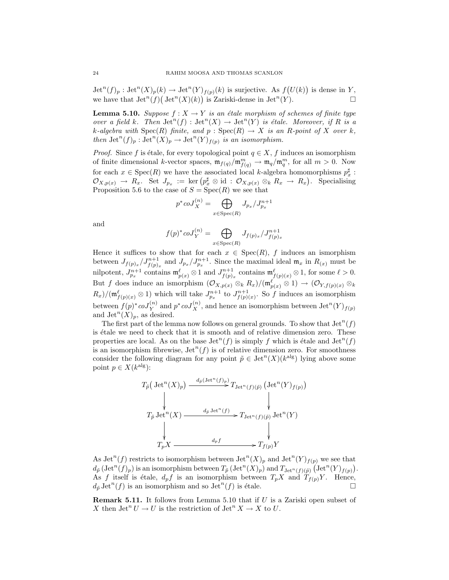$\mathrm{Jet}^n(f)_p : \mathrm{Jet}^n(X)_p(k) \to \mathrm{Jet}^n(Y)_{f(p)}(k)$  is surjective. As  $f(U(k))$  is dense in Y, we have that  $\mathrm{Jet}^n(f) (\mathrm{Jet}^n(X)(k))$  is Zariski-dense in  $\mathrm{Jet}^n(Y)$ .

**Lemma 5.10.** Suppose  $f: X \to Y$  is an étale morphism of schemes of finite type over a field k. Then  $\mathrm{Jet}^n(f) : \mathrm{Jet}^n(X) \to \mathrm{Jet}^n(Y)$  is étale. Moreover, if R is a k-algebra with  $Spec(R)$  finite, and  $p : Spec(R) \rightarrow X$  is an R-point of X over k, then  $\mathrm{Jet}^n(f)_p : \mathrm{Jet}^n(X)_p \to \mathrm{Jet}^n(Y)_{f(p)}$  is an isomorphism.

*Proof.* Since f is étale, for every topological point  $q \in X$ , f induces an isomorphism of finite dimensional k-vector spaces,  $\mathfrak{m}_{f(q)}/\mathfrak{m}_{f(q)}^m \to \mathfrak{m}_q/\mathfrak{m}_q^m$ , for all  $m > 0$ . Now for each  $x \in \text{Spec}(R)$  we have the associated local k-algebra homomorphisms  $p_x^{\sharp}$ :  $\mathcal{O}_{X,p(x)} \to R_x$ . Set  $J_{p_x} := \ker (p_x^{\sharp} \otimes \mathrm{id} : \mathcal{O}_{X,p(x)} \otimes_k R_x \to R_x)$ . Specialising Proposition 5.6 to the case of  $S = \text{Spec}(R)$  we see that

$$
p^* \operatorname{coJ}_X^{(n)} = \bigoplus_{x \in \operatorname{Spec}(R)} J_{p_x}/J_{p_x}^{n+1}
$$

and

$$
f(p)^* \, \text{coJ}_Y^{(n)} = \bigoplus_{x \in \text{Spec}(R)} J_{f(p)_x} / J_{f(p)_x}^{n+1}
$$

Hence it suffices to show that for each  $x \in \text{Spec}(R)$ , f induces an ismorphism between  $J_{f(p)_x}/J_{f(p)_x}^{n+1}$  and  $J_{p_x}/J_{p_x}^{n+1}$ . Since the maximal ideal  $\mathfrak{m}_x$  in  $R_{(x)}$  must be nilpotent,  $J_{p_x}^{n+1}$  contains  $\mathfrak{m}_{p(x)}^{\ell} \otimes 1$  and  $J_{f(p)_x}^{n+1}$  contains  $\mathfrak{m}_{f(p)(x)}^{\ell} \otimes 1$ , for some  $\ell > 0$ . But f does induce an ismorphism  $(\mathcal{O}_{X,p(x)} \otimes_k R_x)/(\mathfrak{m}_{p(x)}^{\ell} \otimes 1) \to (\mathcal{O}_{Y,f(p)(x)} \otimes_k R_x)$  $R_x/(\mathfrak{m}_{f(p)(x)}^{\ell} \otimes 1)$  which will take  $J_{p_x}^{n+1}$  to  $J_{f(p)(x)}^{n+1}$ . So f induces an isomorphism between  $f(p)^* \text{co}J_Y^{(n)}$  and  $p^* \text{co}J_X^{(n)}$ , and hence an isomorphism between  $\text{Jet}^n(Y)_{f(p)}$ and  $\mathrm{Jet}^n(X)_p$ , as desired.

The first part of the lemma now follows on general grounds. To show that  $\mathrm{Jet}^n(f)$ is étale we need to check that it is smooth and of relative dimension zero. These properties are local. As on the base  $\mathrm{Jet}^n(f)$  is simply f which is étale and  $\mathrm{Jet}^n(f)$ is an isomorphism fibrewise,  $\mathrm{Jet}^n(f)$  is of relative dimension zero. For smoothness consider the following diagram for any point  $\tilde{p} \in \mathrm{Jet}^n(X)(k^{\text{alg}})$  lying above some point  $p \in X(k^{\text{alg}})$ :



As Jet<sup>n</sup>(f) restricts to isomorphism between Jet<sup>n</sup>(X)<sub>p</sub> and Jet<sup>n</sup>(Y)<sub>f(p)</sub> we see that  $d_{\tilde{p}}\left(\operatorname{Jet}^n(f)_p\right)$  is an isomorphism between  $T_{\tilde{p}}\left(\operatorname{Jet}^n(X)_p\right)$  and  $T_{\operatorname{Jet}^n(f)(\tilde{p})}\left(\operatorname{Jet}^n(Y)_{f(p)}\right)$ . As f itself is étale,  $d_p f$  is an isomorphism between  $T_p X$  and  $T_{f(p)} Y$ . Hence,  $d_{\tilde{p}}\operatorname{Jet}^n(f)$  is an isomorphism and so  $\operatorname{Jet}^n(f)$  is étale.

Remark 5.11. It follows from Lemma 5.10 that if U is a Zariski open subset of X then  $\mathrm{Jet}^n U \to U$  is the restriction of  $\mathrm{Jet}^n X \to X$  to U.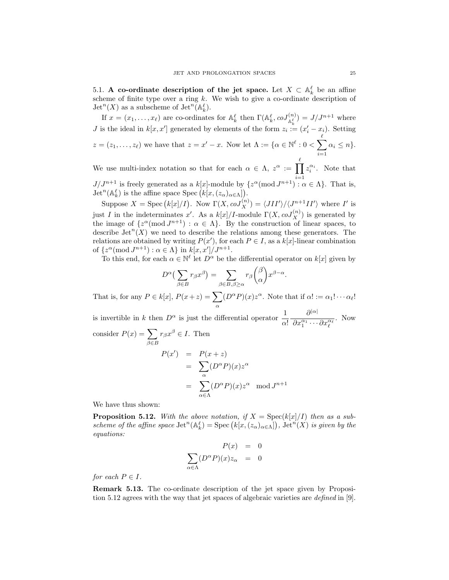5.1. A co-ordinate description of the jet space. Let  $X \subset \mathbb{A}_{k}^{\ell}$  be an affine scheme of finite type over a ring  $k$ . We wish to give a co-ordinate description of  $\mathrm{Jet}^n(X)$  as a subscheme of  $\mathrm{Jet}^n(\mathbb{A}_{k}^{\ell}).$ 

If  $x = (x_1, \ldots, x_\ell)$  are co-ordinates for  $\mathbb{A}_{k}^{\ell}$  then  $\Gamma(\mathbb{A}_{k}^{\ell}, \text{co}J_{\mathbb{A}_{k}^{\ell}}^{(n)}) = J/J^{n+1}$  where *J* is the ideal in  $k[x, x']$  generated by elements of the form  $z_i := (x'_i - x_i)$ . Setting  $z = (z_1, \ldots, z_\ell)$  we have that  $z = x' - x$ . Now let  $\Lambda := \{ \alpha \in \mathbb{N}^\ell : 0 < \sum_{i=1}^\ell \ell_i \}$  $i=1$  $\alpha_i \leq n$ .

We use multi-index notation so that for each  $\alpha \in \Lambda$ ,  $z^{\alpha} := \prod_{i=1}^{\ell}$  $J/J^{n+1}$  is freely generated as a  $k[x]$ -module by  $\{z^{\alpha}(\text{mod }J^{n+1}) : \alpha \in \Lambda\}$ . That is,  $z_i^{\alpha_i}$ . Note that  $\mathrm{Jet}^n(\mathbb{A}_k^{\ell})$  is the affine space  $\mathrm{Spec}\left(k[x,(z_{\alpha})_{\alpha\in\Lambda}\right])$ .

Suppose  $X = \text{Spec} (k[x]/I)$ . Now  $\Gamma(X, coJ_X^{(n)}) = \langle JII' \rangle / \langle J^{n+1}II' \rangle$  where I' is just I in the indeterminates x'. As a  $k[x]/I$ -module  $\Gamma(X, coJ_X^{(n)})$  is generated by the image of  $\{z^{\alpha}(\text{mod }J^{n+1}) : \alpha \in \Lambda\}$ . By the construction of linear spaces, to describe  $\mathrm{Jet}^n(X)$  we need to describe the relations among these generators. The relations are obtained by writing  $P(x')$ , for each  $P \in I$ , as a  $k[x]$ -linear combination of  $\{z^{\alpha} \text{ (mod } J^{n+1}) : \alpha \in \Lambda\}$  in  $k[x, x']/J^{n+1}$ .

To this end, for each  $\alpha \in \mathbb{N}^{\ell}$  let  $D^{\alpha}$  be the differential operator on  $k[x]$  given by

$$
D^{\alpha}\left(\sum_{\beta\in B}r_{\beta}x^{\beta}\right)=\sum_{\beta\in B,\beta\geq\alpha}r_{\beta}\binom{\beta}{\alpha}x^{\beta-\alpha}.
$$

That is, for any  $P \in k[x]$ ,  $P(x+z) = \sum$ α  $(D^{\alpha}P)(x)z^{\alpha}$ . Note that if  $\alpha! := \alpha_1! \cdots \alpha_{\ell}!$ 

is invertible in k then  $D^{\alpha}$  is just the differential operator  $\frac{1}{\alpha!}$  $\partial^{|\alpha|}$  $\overline{\partial x_1^{\alpha_1}\cdots\partial x_\ell^{\alpha_\ell}}$ . Now consider  $P(x) = \sum$  $\beta \in B$  $r_{\beta}x^{\beta} \in I$ . Then

$$
P(x') = P(x + z)
$$
  
= 
$$
\sum_{\alpha} (D^{\alpha} P)(x) z^{\alpha}
$$
  
= 
$$
\sum_{\alpha \in \Lambda} (D^{\alpha} P)(x) z^{\alpha} \mod J^{n+1}
$$

We have thus shown:

**Proposition 5.12.** With the above notation, if  $X = \text{Spec}(k[x]/I)$  then as a subscheme of the affine space  $\mathrm{Jet}^n(\mathbb{A}_k^{\ell}) = \mathrm{Spec} (k[x,(z_{\alpha})_{\alpha \in \Lambda}])$ ,  $\mathrm{Jet}^n(X)$  is given by the equations:

$$
P(x) = 0
$$
  

$$
\sum_{\alpha \in \Lambda} (D^{\alpha} P)(x) z_{\alpha} = 0
$$

for each  $P \in I$ .

Remark 5.13. The co-ordinate description of the jet space given by Proposition 5.12 agrees with the way that jet spaces of algebraic varieties are *defined* in [9].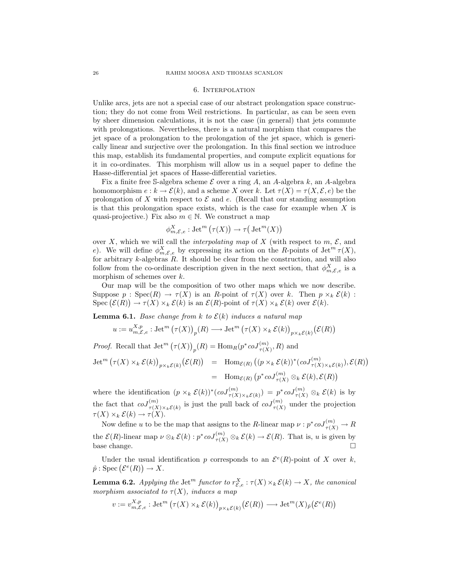#### 6. Interpolation

Unlike arcs, jets are not a special case of our abstract prolongation space construction; they do not come from Weil restrictions. In particular, as can be seen even by sheer dimension calculations, it is not the case (in general) that jets commute with prolongations. Nevertheless, there is a natural morphism that compares the jet space of a prolongation to the prolongation of the jet space, which is generically linear and surjective over the prolongation. In this final section we introduce this map, establish its fundamental properties, and compute explicit equations for it in co-ordinates. This morphism will allow us in a sequel paper to define the Hasse-differential jet spaces of Hasse-differential varieties.

Fix a finite free S-algebra scheme  $\mathcal E$  over a ring A, an A-algebra k, an A-algebra homomorphism  $e : k \to \mathcal{E}(k)$ , and a scheme X over k. Let  $\tau(X) = \tau(X, \mathcal{E}, e)$  be the prolongation of X with respect to  $\mathcal E$  and e. (Recall that our standing assumption is that this prolongation space exists, which is the case for example when  $X$  is quasi-projective.) Fix also  $m \in \mathbb{N}$ . We construct a map

$$
\phi_{m,\mathcal{E},e}^X : \operatorname{Jet}^m(\tau(X)) \to \tau\big(\operatorname{Jet}^m(X)\big)
$$

over X, which we will call the *interpolating map* of X (with respect to  $m, \mathcal{E}$ , and e). We will define  $\phi_{m,\mathcal{E},e}^X$  by expressing its action on the R-points of Jet<sup>m</sup>  $\tau(X)$ , for arbitrary k-algebras R. It should be clear from the construction, and will also follow from the co-ordinate description given in the next section, that  $\phi_{m,\mathcal{E},e}^{X}$  is a morphism of schemes over  $k$ .

Our map will be the composition of two other maps which we now describe. Suppose  $p : \text{Spec}(R) \to \tau(X)$  is an R-point of  $\tau(X)$  over k. Then  $p \times_k \mathcal{E}(k)$ : Spec  $(\mathcal{E}(R)) \to \tau(X) \times_k \mathcal{E}(k)$  is an  $\mathcal{E}(R)$ -point of  $\tau(X) \times_k \mathcal{E}(k)$  over  $\mathcal{E}(k)$ .

**Lemma 6.1.** Base change from k to  $\mathcal{E}(k)$  induces a natural map

$$
u := u_{m,\mathcal{E},e}^{X,p} : \operatorname{Jet}^m(\tau(X))_p(R) \longrightarrow \operatorname{Jet}^m(\tau(X) \times_k \mathcal{E}(k))_{p \times_k \mathcal{E}(k)}(\mathcal{E}(R))
$$

*Proof.* Recall that  $\mathrm{Jet}^m(\tau(X))_p(R) = \mathrm{Hom}_R(p^* \operatorname{coJ}_{\tau(X)}^{(m)}, R)$  and

$$
\begin{array}{rcl}\n\operatorname{Jet}^m\big(\tau(X)\times_k\mathcal{E}(k)\big)_{p\times_k\mathcal{E}(k)}\big(\mathcal{E}(R)\big) & = & \operatorname{Hom}_{\mathcal{E}(R)}\big((p\times_k\mathcal{E}(k))^*(coJ_{\tau(X)\times_k\mathcal{E}(k)}^{(m)}),\mathcal{E}(R)\big) \\
& = & \operatorname{Hom}_{\mathcal{E}(R)}\big(p^*coJ_{\tau(X)}^{(m)}\otimes_k\mathcal{E}(k),\mathcal{E}(R)\big)\n\end{array}
$$

where the identification  $(p \times_k \mathcal{E}(k))^*(coJ_{\tau(X)\times_k\mathcal{E}(k)}^{(m)}) = p^*coJ_{\tau(X)}^{(m)} \otimes_k \mathcal{E}(k)$  is by the fact that  $coJ_{\tau(X)\times_k\mathcal{E}(k)}^{(m)}$  is just the pull back of  $coJ_{\tau(X)}^{(m)}$  under the projection  $\tau(X) \times_k \mathcal{E}(k) \to \tau(X).$ 

Now define u to be the map that assigns to the R-linear map  $\nu : p^* \text{co} J_{\tau(X)}^{(m)} \to R$ the  $\mathcal{E}(R)$ -linear map  $\nu \otimes_k \mathcal{E}(k) : p^* \text{co} J_{\tau(X)}^{(m)} \otimes_k \mathcal{E}(k) \to \mathcal{E}(R)$ . That is, u is given by base change.  $\Box$ 

Under the usual identification p corresponds to an  $\mathcal{E}^e(R)$ -point of X over k,  $\hat{p} : \text{Spec}(\mathcal{E}^e(R)) \to X.$ 

**Lemma 6.2.** Applying the Jet<sup>m</sup> functor to  $r_{\mathcal{E},e}^X : \tau(X) \times_k \mathcal{E}(k) \to X$ , the canonical morphism associated to  $\tau(X)$ , induces a map

$$
v := v_{m,\mathcal{E},e}^{X,p} : \operatorname{Jet}^m(\tau(X) \times_k \mathcal{E}(k))_{p \times_k \mathcal{E}(k)} (\mathcal{E}(R)) \longrightarrow \operatorname{Jet}^m(X)_{\hat{p}} (\mathcal{E}^e(R))
$$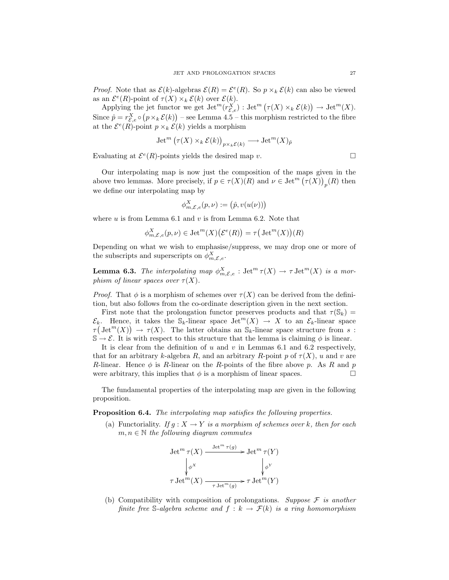*Proof.* Note that as  $\mathcal{E}(k)$ -algebras  $\mathcal{E}(R) = \mathcal{E}^e(R)$ . So  $p \times_k \mathcal{E}(k)$  can also be viewed as an  $\mathcal{E}^e(R)$ -point of  $\tau(X) \times_k \mathcal{E}(k)$  over  $\mathcal{E}(k)$ .

Applying the jet functor we get  $\operatorname{Jet}^m(r_{\mathcal{E},e}^X)$  :  $\operatorname{Jet}^m(\tau(X) \times_k \mathcal{E}(k)) \to \operatorname{Jet}^m(X)$ . Since  $\hat{p} = r_{\mathcal{E},e}^{X} \circ (p \times_k \mathcal{E}(k))$  – see Lemma 4.5 – this morphism restricted to the fibre at the  $\mathcal{E}^e(R)$ -point  $p \times_k \mathcal{E}(k)$  yields a morphism

$$
\operatorname{Jet}^m\big(\tau(X)\times_k\mathcal{E}(k)\big)_{p\times_k\mathcal{E}(k)}\longrightarrow\operatorname{Jet}^m(X)_{\hat{p}}
$$

Evaluating at  $\mathcal{E}^e(R)$ -points yields the desired map v.

Our interpolating map is now just the composition of the maps given in the above two lemmas. More precisely, if  $p \in \tau(X)(R)$  and  $\nu \in \text{Jet}^m(\tau(X))_p(R)$  then we define our interpolating map by

$$
\phi_{m,\mathcal{E},e}^X(p,\nu) := (\hat{p}, v(u(\nu)))
$$

where  $u$  is from Lemma 6.1 and  $v$  is from Lemma 6.2. Note that

$$
\phi_{m,\mathcal{E},e}^X(p,\nu) \in \text{Jet}^m(X)\big(\mathcal{E}^e(R)\big) = \tau\big(\text{Jet}^m(X)\big)(R)
$$

Depending on what we wish to emphasise/suppress, we may drop one or more of the subscripts and superscripts on  $\phi_{m,\mathcal{E},e}^X$ .

**Lemma 6.3.** The interpolating map  $\phi_{m,\mathcal{E},e}^X$  :  $\mathrm{Jet}^m \tau(X) \to \tau \mathrm{Jet}^m(X)$  is a morphism of linear spaces over  $\tau(X)$ .

*Proof.* That  $\phi$  is a morphism of schemes over  $\tau(X)$  can be derived from the definition, but also follows from the co-ordinate description given in the next section.

First note that the prolongation functor preserves products and that  $\tau(S_k)$  =  $\mathcal{E}_k$ . Hence, it takes the  $\mathbb{S}_k$ -linear space Jet<sup> $m(X) \to X$ </sup> to an  $\mathcal{E}_k$ -linear space  $\tau(\mathrm{Jet}^m(X)) \to \tau(X)$ . The latter obtains an  $\mathbb{S}_k$ -linear space structure from s:  $\mathbb{S} \to \mathcal{E}$ . It is with respect to this structure that the lemma is claiming  $\phi$  is linear.

It is clear from the definition of  $u$  and  $v$  in Lemmas 6.1 and 6.2 respectively, that for an arbitrary k-algebra R, and an arbitrary R-point p of  $\tau(X)$ , u and v are R-linear. Hence  $\phi$  is R-linear on the R-points of the fibre above p. As R and p were arbitrary, this implies that  $\phi$  is a morphism of linear spaces.

The fundamental properties of the interpolating map are given in the following proposition.

Proposition 6.4. The interpolating map satisfies the following properties.

(a) Functoriality. If  $g: X \to Y$  is a morphism of schemes over k, then for each  $m, n \in \mathbb{N}$  the following diagram commutes

$$
\operatorname{Jet}^m \tau(X) \xrightarrow{\operatorname{Jet}^m \tau(g)} \operatorname{Jet}^m \tau(Y)
$$

$$
\downarrow \phi^X \qquad \qquad \downarrow \phi^Y
$$

$$
\tau \operatorname{Jet}^m(X) \xrightarrow{\tau \operatorname{Jet}^m(g)} \tau \operatorname{Jet}^m(Y)
$$

(b) Compatibility with composition of prolongations. Suppose  $\mathcal F$  is another finite free S-algebra scheme and  $f : k \to \mathcal{F}(k)$  is a ring homomorphism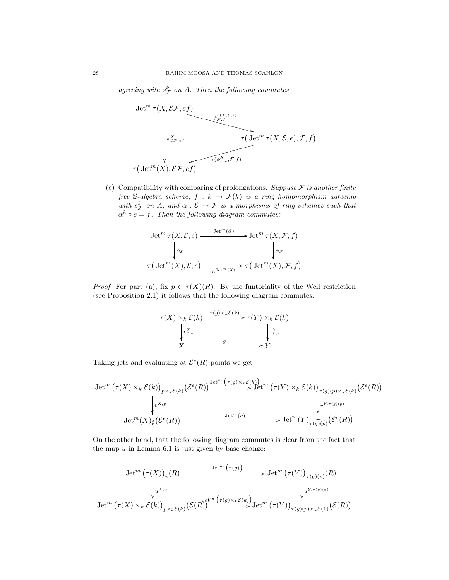agreeing with  $s_{\mathcal{F}}^k$  on A. Then the following commutes



(c) Compatibility with comparing of prolongations. Suppuse  $\mathcal F$  is another finite free S-algebra scheme,  $f : k \to \mathcal{F}(k)$  is a ring homomorphism agreeing with  $s^k_{\mathcal{F}}$  on A, and  $\alpha : \mathcal{E} \to \mathcal{F}$  is a morphisms of ring schemes such that  $\alpha^k \circ e = f$ . Then the following diagram commutes:

$$
\begin{aligned}\n\operatorname{Jet}^m\tau(X,\mathcal{E},e) &\xrightarrow{\operatorname{Jet}^m(\hat{\alpha})} \operatorname{Jet}^m\tau(X,\mathcal{F},f) \\
\downarrow_{\phi_{\mathcal{E}}} &\downarrow_{\phi_{\mathcal{F}}} \\
\tau\big(\operatorname{Jet}^m(X),\mathcal{E},e\big)\xrightarrow[\hat{\alpha}^{\operatorname{Jet}^m(X)}]{}\tau\big(\operatorname{Jet}^m(X),\mathcal{F},f\big)\n\end{aligned}
$$

*Proof.* For part (a), fix  $p \in \tau(X)(R)$ . By the funtoriality of the Weil restriction (see Proposition 2.1) it follows that the following diagram commutes:

$$
\tau(X) \times_k \mathcal{E}(k) \xrightarrow{\tau(g) \times_k \mathcal{E}(k)} \tau(Y) \times_k \mathcal{E}(k)
$$
\n
$$
\downarrow_{\mathcal{F}_{\mathcal{E},e}}^X \qquad \qquad \downarrow_{\mathcal{F}_{\mathcal{E},e}}^Y \qquad \qquad \downarrow_{\mathcal{F}_{\mathcal{E},e}}^Y
$$
\n
$$
X \xrightarrow{g} Y
$$

Taking jets and evaluating at  $\mathcal{E}^e(R)$ -points we get

$$
\mathrm{Jet}^m\left(\tau(X)\times_k\mathcal{E}(k)\right)_{p\times_k\mathcal{E}(k)}\left(\mathcal{E}^e(R)\right)\xrightarrow{\mathrm{Jet}^m\left(\tau(g)\times_k\mathcal{E}(k)\right)}\mathrm{Jet}^m\left(\tau(Y)\times_k\mathcal{E}(k)\right)_{\tau(g)(p)\times_k\mathcal{E}(k)}\left(\mathcal{E}^e(R)\right)
$$
\n
$$
\downarrow_{v^{X,p}}\qquad\qquad\downarrow_{v^{Y,\tau(g)(p)}}\downarrow_{v^{Y,\tau(g)(p)}}\downarrow_{v^{Y,\tau(g)(p)}}\left(\mathcal{E}^e(R)\right)
$$
\n
$$
\mathrm{Jet}^m(X)_{\hat{p}}\left(\mathcal{E}^e(R)\right)\xrightarrow{\mathrm{Jet}^m(g)}\mathrm{Jet}^m(Y)_{\widehat{\tau(g)(p)}}\left(\mathcal{E}^e(R)\right)
$$

On the other hand, that the following diagram commutes is clear from the fact that the map  $u$  in Lemma 6.1 is just given by base change:

$$
\operatorname{Jet}^m\left(\tau(X)\right)_p(R) \xrightarrow{\operatorname{Jet}^m\left(\tau(g)\right)} \operatorname{Jet}^m\left(\tau(Y)\right)_{\tau(g)(p)}(R)
$$
  

$$
\downarrow_{u^{X,p}} \qquad \qquad \downarrow_{u^{Y,\tau(g)(p)}} \qquad \qquad \downarrow_{u^{Y,\tau(g)(p)}}
$$
  

$$
\operatorname{Jet}^m\left(\tau(X)\times_k \mathcal{E}(k)\right)_{p\times_k \mathcal{E}(k)}\left(\mathcal{E}(R)\right) \xrightarrow{\operatorname{Jet}^m\left(\tau(g)\times_k \mathcal{E}(k)\right)} \operatorname{Jet}^m\left(\tau(Y)\right)_{\tau(g)(p)\times_k \mathcal{E}(k)}\left(\mathcal{E}(R)\right)
$$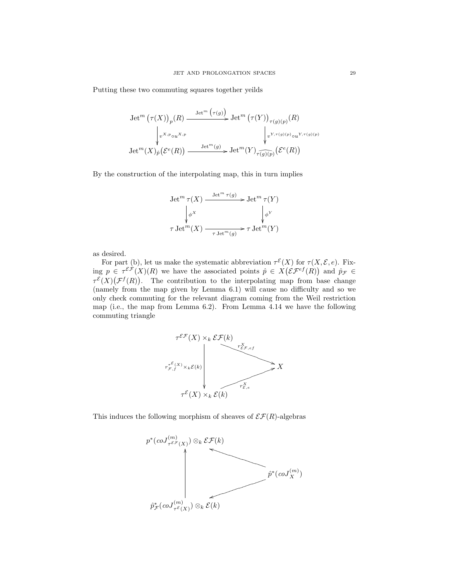Putting these two commuting squares together yeilds

$$
\operatorname{Jet}^m\left(\tau(X)\right)_p(R) \xrightarrow{\operatorname{Jet}^m\left(\tau(g)\right)} \operatorname{Jet}^m\left(\tau(Y)\right)_{\tau(g)(p)}(R)
$$

$$
\downarrow_{v^{X,p}\circ u^{X,p}} \qquad \qquad \downarrow_{v^{Y,\tau(g)(p)}\circ u^{Y,\tau(g)(p)}} \text{Jet}^m(X)_{\hat{p}}\left(\mathcal{E}^e(R)\right) \xrightarrow{\operatorname{Jet}^m(g)} \operatorname{Jet}^m(Y)_{\tau(g)(p)}\left(\mathcal{E}^e(R)\right)
$$

By the construction of the interpolating map, this in turn implies

$$
\operatorname{Jet}^m \tau(X) \xrightarrow{\operatorname{Jet}^m \tau(g)} \operatorname{Jet}^m \tau(Y)
$$

$$
\downarrow \phi^X \qquad \qquad \downarrow \phi^Y
$$

$$
\tau \operatorname{Jet}^m(X) \xrightarrow{\tau \operatorname{Jet}^m(g)} \tau \operatorname{Jet}^m(Y)
$$

as desired.

For part (b), let us make the systematic abbreviation  $\tau^{\mathcal{E}}(X)$  for  $\tau(X, \mathcal{E}, e)$ . Fixing  $p \in \tau^{\mathcal{EF}}(X)(R)$  we have the associated points  $\hat{p} \in X(\mathcal{EF}^{\text{ef}}(R))$  and  $\hat{p}_{\mathcal{F}} \in$  $\tau^{\mathcal{E}}(X)(\mathcal{F}^f(R))$ . The contribution to the interpolating map from base change (namely from the map given by Lemma 6.1) will cause no difficulty and so we only check commuting for the relevant diagram coming from the Weil restriction map (i.e., the map from Lemma 6.2). From Lemma 4.14 we have the following commuting triangle



This induces the following morphism of sheaves of  $\mathcal{EF}(R)$ -algebras

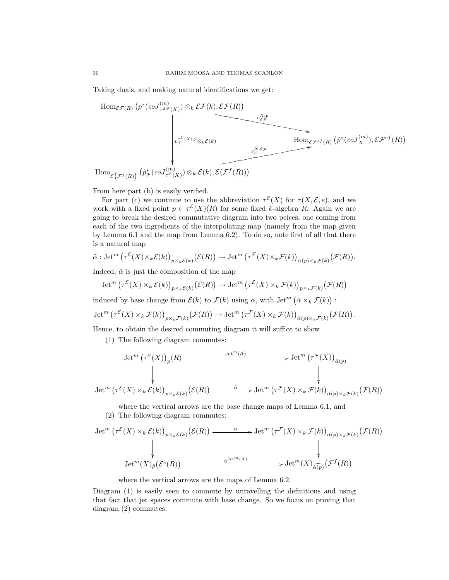Taking duals, and making natural identifications we get:



From here part (b) is easily verified.

For part (c) we continue to use the abbreviation  $\tau^{\mathcal{E}}(X)$  for  $\tau(X,\mathcal{E},e)$ , and we work with a fixed point  $p \in \tau^{\mathcal{E}}(X)(R)$  for some fixed k-algebra R. Again we are going to break the desired commutative diagram into two peices, one coming from each of the two ingredients of the interpolating map (namely from the map given by Lemma 6.1 and the map from Lemma 6.2). To do so, note first of all that there is a natural map

$$
\tilde{\alpha}: \operatorname{Jet}^m\big(\tau^{\mathcal{E}}(X)\times_k\mathcal{E}(k)\big)_{p\times_k\mathcal{E}(k)}\big(\mathcal{E}(R)\big) \to \operatorname{Jet}^m\big(\tau^{\mathcal{F}}(X)\times_k\mathcal{F}(k)\big)_{\hat{\alpha}(p)\times_k\mathcal{F}(k)}\big(\mathcal{F}(R)\big).
$$

Indeed,  $\tilde{\alpha}$  is just the composition of the map

$$
\operatorname{Jet}^m\big(\tau^{\mathcal E}(X)\times_k\mathcal E(k)\big)_{p\times_k\mathcal E(k)}\big(\mathcal E(R)\big)\to\operatorname{Jet}^m\big(\tau^{\mathcal E}(X)\times_k\mathcal F(k)\big)_{p\times_k\mathcal F(k)}\big(\mathcal F(R)\big)
$$

induced by base change from  $\mathcal{E}(k)$  to  $\mathcal{F}(k)$  using  $\alpha$ , with  $\mathrm{Jet}^m(\hat{\alpha} \times_k \mathcal{F}(k))$ :

$$
\operatorname{Jet}^m\big(\tau^{\mathcal E}(X)\times_k\mathcal F(k)\big)_{p\times_k\mathcal F(k)}\big(\mathcal F(R)\big)\to\operatorname{Jet}^m\big(\tau^{\mathcal F}(X)\times_k\mathcal F(k)\big)_{\hat\alpha(p)\times_k\mathcal F(k)}\big(\mathcal F(R)\big).
$$

Hence, to obtain the desired commuting diagram it will suffice to show

(1) The following diagram commutes:

$$
\text{Jet}^m\left(\tau^{\mathcal{E}}(X)\right)_p(R) \xrightarrow{\text{Jet}^m(\hat{\alpha})} \text{Jet}^m\left(\tau^{\mathcal{F}}(X)\right)_{\hat{\alpha}(p)}
$$
\n
$$
\downarrow \qquad \qquad \downarrow \qquad \qquad \downarrow
$$
\n
$$
\text{Jet}^m\left(\tau^{\mathcal{E}}(X) \times_k \mathcal{E}(k)\right)_{p \times_k \mathcal{E}(k)} \left(\mathcal{E}(R)\right) \xrightarrow{\tilde{\alpha}} \text{Jet}^m\left(\tau^{\mathcal{F}}(X) \times_k \mathcal{F}(k)\right)_{\hat{\alpha}(p) \times_k \mathcal{F}(k)} \left(\mathcal{F}(R)\right)
$$

where the vertical arrows are the base change maps of Lemma 6.1, and

(2) The following diagram commutes:

$$
\begin{aligned}\n\operatorname{Jet}^m\left(\tau^{\mathcal{E}}(X) \times_k \mathcal{E}(k)\right)_{p \times_k \mathcal{E}(k)} & \left(\mathcal{E}(R)\right) \xrightarrow{\tilde{\alpha}} \operatorname{Jet}^m\left(\tau^{\mathcal{F}}(X) \times_k \mathcal{F}(k)\right)_{\hat{\alpha}(p) \times_k \mathcal{F}(k)} & \left(\mathcal{F}(R)\right) \\
&\downarrow \qquad \qquad \downarrow \qquad \qquad \downarrow \qquad \qquad \downarrow \\
\operatorname{Jet}^m(X)_{\hat{p}} & \left(\mathcal{E}^e(R)\right) \xrightarrow{\hat{\alpha}^{\operatorname{Jet}^m(X)}} \xrightarrow{\hat{\alpha}^{\operatorname{Jet}^m(X)}} \operatorname{Jet}^m(X)_{\hat{\alpha}(p)} \left(\mathcal{F}^f(R)\right)\n\end{aligned}
$$

where the vertical arrows are the maps of Lemma 6.2.

Diagram (1) is easily seen to commute by unravelling the definitions and using that fact that jet spaces commute with base change. So we focus on proving that diagram (2) commutes.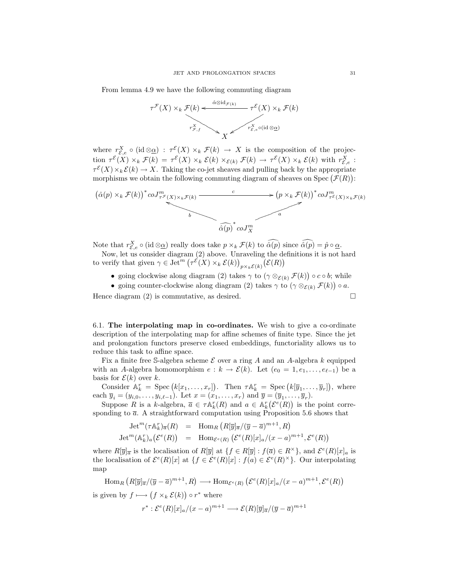From lemma 4.9 we have the following commuting diagram

$$
\tau^{\mathcal{F}}(X) \times_k \mathcal{F}(k) \xleftarrow{\hat{\alpha} \otimes id_{\mathcal{F}(k)}} \tau^{\mathcal{E}}(X) \times_k \mathcal{F}(k)
$$
\n
$$
r^X_{\mathcal{F},f} \times_{X} \mathcal{F}^X(\text{ind } \otimes \underline{\alpha})
$$

where  $r_{\mathcal{E},e}^X \circ (\mathrm{id} \otimes \underline{\alpha}) : \tau^{\mathcal{E}}(X) \times_k \mathcal{F}(k) \to X$  is the composition of the projection  $\tau^{\mathcal{E}}(X) \times_k \mathcal{F}(k) = \tau^{\mathcal{E}}(X) \times_k \mathcal{E}(k) \times_{\mathcal{E}(k)} \mathcal{F}(k) \to \tau^{\mathcal{E}}(X) \times_k \mathcal{E}(k)$  with  $r_{\mathcal{E},e}^X$ :  $\tau^{\mathcal{E}}(X) \times_k \mathcal{E}(k) \to X$ . Taking the co-jet sheaves and pulling back by the appropriate morphisms we obtain the following commuting diagram of sheaves on Spec  $(F(R))$ :



Note that  $r_{\mathcal{E},e}^X \circ (\text{id} \otimes \underline{\alpha})$  really does take  $p \times_k \mathcal{F}(k)$  to  $\hat{\alpha}(p)$  since  $\hat{\alpha}(p) = \hat{p} \circ \underline{\alpha}$ .

Now, let us consider diagram (2) above. Unraveling the definitions it is not hard to verify that given  $\gamma \in \text{Jet}^m \left( \tau^{\mathcal{E}}(X) \times_k \mathcal{E}(k) \right)_{p \times_k \mathcal{E}(k)} (\mathcal{E}(R))$ 

- going clockwise along diagram (2) takes  $\gamma$  to  $(\gamma \otimes_{\mathcal{E}(k)} \mathcal{F}(k)) \circ c \circ b$ ; while
- going counter-clockwise along diagram (2) takes  $\gamma$  to  $(\gamma \otimes_{\mathcal{E}(k)} \mathcal{F}(k)) \circ a$ .

Hence diagram  $(2)$  is commutative, as desired.

6.1. The interpolating map in co-ordinates. We wish to give a co-ordinate description of the interpolating map for affine schemes of finite type. Since the jet and prolongation functors preserve closed embeddings, functoriality allows us to reduce this task to affine space.

Fix a finite free S-algebra scheme  $\mathcal E$  over a ring A and an A-algebra k equipped with an A-algebra homomorphism  $e : k \to \mathcal{E}(k)$ . Let  $(e_0 = 1, e_1, \ldots, e_{\ell-1})$  be a basis for  $\mathcal{E}(k)$  over k.

Consider  $\mathbb{A}_k^r = \text{Spec} (k[x_1, \ldots, x_r]).$  Then  $\tau \mathbb{A}_k^r = \text{Spec} (k[\overline{y}_1, \ldots, \overline{y}_r]),$  where each  $\overline{y}_i = (y_{i,0}, \ldots, y_{i,\ell-1})$ . Let  $x = (x_1, \ldots, x_r)$  and  $\overline{y} = (\overline{y}_1, \ldots, \overline{y}_r)$ .

Suppose R is a k-algebra,  $\overline{a} \in \tau \mathbb{A}_k^r(R)$  and  $a \in \mathbb{A}_k^r(\mathcal{E}^e(R))$  is the point corresponding to  $\bar{a}$ . A straightforward computation using Proposition 5.6 shows that

$$
Jet^m(\tau \mathbb{A}_k^r)_{\overline{a}}(R) = \text{Hom}_R \left( R[\overline{y}]_{\overline{a}}/(\overline{y} - \overline{a})^{m+1}, R \right)
$$
  

$$
\text{Jet}^m(\mathbb{A}_k^r)_a(\mathcal{E}^e(R)) = \text{Hom}_{\mathcal{E}^e(R)} \left( \mathcal{E}^e(R)[x]_a/(x-a)^{m+1}, \mathcal{E}^e(R) \right)
$$

where  $R[\overline{y}]_{\overline{\alpha}}$  is the localisation of  $R[\overline{y}]$  at  $\{f \in R[\overline{y}] : f(\overline{\alpha}) \in R^{\times}\}\$ , and  $\mathcal{E}^{e}(R)[x]_{a}$  is the localisation of  $\mathcal{E}^e(R)[x]$  at  $\{f \in \mathcal{E}^e(R)[x] : f(a) \in \mathcal{E}^e(R)^{\times}\}\$ . Our interpolating map

 $\text{Hom}_R\left(R[\overline{y}]_{\overline{a}}/(\overline{y}-\overline{a})^{m+1},R\right)\longrightarrow \text{Hom}_{\mathcal{E}^e(R)}\left(\mathcal{E}^e(R)[x]_a/(x-a)^{m+1},\mathcal{E}^e(R)\right)$ 

is given by  $f \longmapsto (f \times_k \mathcal{E}(k)) \circ r^*$  where

$$
r^*: \mathcal{E}^e(R)[x]_a / (x-a)^{m+1} \longrightarrow \mathcal{E}(R)[\overline{y}]_{\overline{a}} / (\overline{y}-\overline{a})^{m+1}
$$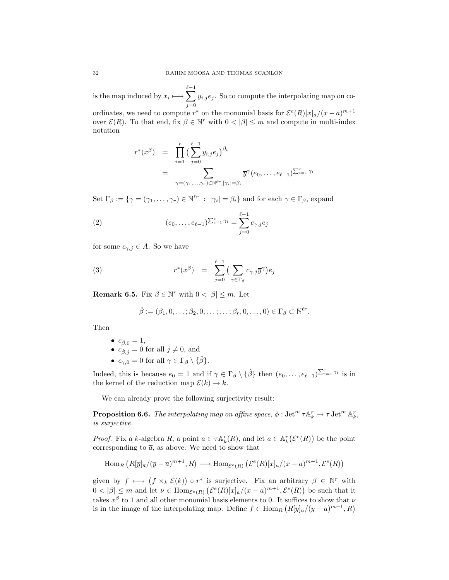is the map induced by  $x_i \longmapsto \sum_{i=1}^{\ell-1}$  $j=0$  $y_{i,j} e_j$ . So to compute the interpolating map on co-

ordinates, we need to compute  $r^*$  on the monomial basis for  $\mathcal{E}^e(R)[x]_a/(x-a)^{m+1}$ over  $\mathcal{E}(R)$ . To that end, fix  $\beta \in \mathbb{N}^r$  with  $0 < |\beta| \leq m$  and compute in multi-index notation

$$
r^*(x^{\beta}) = \prod_{i=1}^r \left(\sum_{j=0}^{\ell-1} y_{i,j} e_j\right)^{\beta_i}
$$
  
= 
$$
\sum_{\gamma = (\gamma_1, ..., \gamma_r) \in \mathbb{N}^{\ell r}, |\gamma_i| = \beta_i} \overline{y}^{\gamma}(e_0, ..., e_{\ell-1})^{\sum_{i=1}^r \gamma_i}
$$

Set  $\Gamma_{\beta} := \{ \gamma = (\gamma_1, \ldots, \gamma_r) \in \mathbb{N}^{\ell r} : |\gamma_i| = \beta_i \}$  and for each  $\gamma \in \Gamma_{\beta}$ , expand

(2) 
$$
(e_0, \ldots, e_{\ell-1})^{\sum_{i=1}^r \gamma_i} = \sum_{j=0}^{\ell-1} c_{\gamma, j} e_j
$$

for some  $c_{\gamma,i} \in A$ . So we have

(3) 
$$
r^*(x^{\beta}) = \sum_{j=0}^{\ell-1} \left( \sum_{\gamma \in \Gamma_{\beta}} c_{\gamma,j} \overline{y}^{\gamma} \right) e_j
$$

**Remark 6.5.** Fix  $\beta \in \mathbb{N}^r$  with  $0 < |\beta| \leq m$ . Let

$$
\hat{\beta} := (\beta_1, 0, \dots; \beta_2, 0, \dots; \dots; \beta_r, 0, \dots, 0) \in \Gamma_{\beta} \subset \mathbb{N}^{\ell r}.
$$

Then

$$
\bullet \ \ c_{\hat{\beta},0} = 1,
$$

- $c_{\hat{\beta},j} = 0$  for all  $j \neq 0$ , and
- $c_{\gamma,0} = 0$  for all  $\gamma \in \Gamma_{\beta} \setminus {\hat{\beta}}$ .

Indeed, this is because  $e_0 = 1$  and if  $\gamma \in \Gamma_\beta \setminus {\hat{\beta}}\}$  then  $(e_0, \ldots, e_{\ell-1})^{\sum_{i=1}^r \gamma_i}$  is in the kernel of the reduction map  $\mathcal{E}(k) \to k$ .

We can already prove the following surjectivity result:

**Proposition 6.6.** The interpolating map on affine space,  $\phi$  :  $\text{Jet}^m \tau \mathbb{A}_k^r \to \tau \text{Jet}^m \mathbb{A}_k^r$ , is surjective.

*Proof.* Fix a k-algebra R, a point  $\overline{a} \in \tau \mathbb{A}_k^r(R)$ , and let  $a \in \mathbb{A}_k^r(\mathcal{E}^e(R))$  be the point corresponding to  $\bar{a}$ , as above. We need to show that

$$
\operatorname{Hom}_R (R[\overline{y}]_{\overline{a}}/(\overline{y}-\overline{a})^{m+1}, R) \longrightarrow \operatorname{Hom}_{\mathcal{E}^e(R)} (\mathcal{E}^e(R)[x]_a/(x-a)^{m+1}, \mathcal{E}^e(R))
$$

given by  $f \mapsto (f \times_k \mathcal{E}(k)) \circ r^*$  is surjective. Fix an arbitrary  $\beta \in \mathbb{N}^r$  with  $0 < |\beta| \leq m$  and let  $\nu \in \text{Hom}_{\mathcal{E}^e(R)}(\mathcal{E}^e(R)[x]_a/(x-a)^{m+1}, \mathcal{E}^e(R))$  be such that it takes  $x^{\beta}$  to 1 and all other monomial basis elements to 0. It suffices to show that  $\nu$ is in the image of the interpolating map. Define  $f \in \text{Hom}_R (R[\overline{y}]_{\overline{a}}/(\overline{y}-\overline{a})^{m+1}, R)$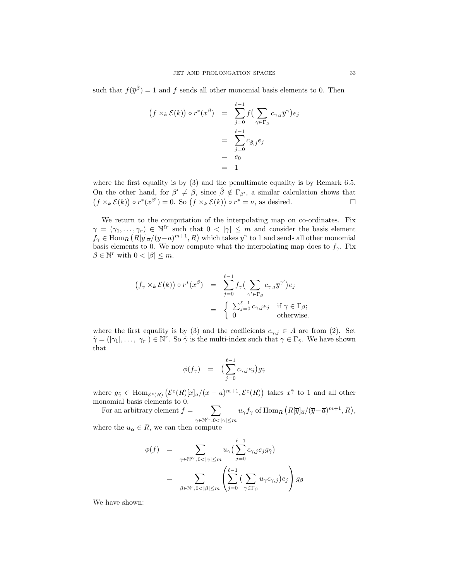such that  $f(\bar{y}^{\hat{\beta}}) = 1$  and f sends all other monomial basis elements to 0. Then

$$
(f \times_k \mathcal{E}(k)) \circ r^*(x^\beta) = \sum_{j=0}^{\ell-1} f \left( \sum_{\gamma \in \Gamma_\beta} c_{\gamma,j} \overline{y}^\gamma \right) e_j
$$

$$
= \sum_{j=0}^{\ell-1} c_{\hat{\beta},j} e_j
$$

$$
= e_0
$$

$$
= 1
$$

where the first equality is by (3) and the penultimate equality is by Remark 6.5. On the other hand, for  $\beta' \neq \beta$ , since  $\hat{\beta} \notin \Gamma_{\beta'}$ , a similar calculation shows that  $(f \times_k \mathcal{E}(k)) \circ r^*(x^{\beta'}) = 0.$  So  $(f \times_k \mathcal{E}(k)) \circ r^* = \nu$ , as desired.

We return to the computation of the interpolating map on co-ordinates. Fix  $\gamma = (\gamma_1, \ldots, \gamma_r) \in \mathbb{N}^{\ell r}$  such that  $0 < |\gamma| \leq m$  and consider the basis element  $f_{\gamma} \in \text{Hom}_{R}\left(R[\overline{y}]\overline{a}/(\overline{y}-\overline{a})^{m+1},R\right)$  which takes  $\overline{y}^{\gamma}$  to 1 and sends all other monomial basis elements to 0. We now compute what the interpolating map does to  $f_{\gamma}$ . Fix  $\beta \in \mathbb{N}^r$  with  $0 < |\beta| \leq m$ .

$$
(f_{\gamma} \times_{k} \mathcal{E}(k)) \circ r^{*}(x^{\beta}) = \sum_{j=0}^{\ell-1} f_{\gamma} \left( \sum_{\gamma' \in \Gamma_{\beta}} c_{\gamma,j} \overline{y}^{\gamma'} \right) e_{j}
$$

$$
= \begin{cases} \sum_{j=0}^{\ell-1} c_{\gamma,j} e_{j} & \text{if } \gamma \in \Gamma_{\beta}; \\ 0 & \text{otherwise}. \end{cases}
$$

where the first equality is by (3) and the coefficients  $c_{\gamma,i} \in A$  are from (2). Set  $\tilde{\gamma} = (|\gamma_1|, \ldots, |\gamma_r|) \in \mathbb{N}^r$ . So  $\tilde{\gamma}$  is the multi-index such that  $\gamma \in \Gamma_{\tilde{\gamma}}$ . We have shown that

$$
\phi(f_{\gamma}) = \left(\sum_{j=0}^{\ell-1} c_{\gamma,j} e_j\right) g_{\tilde{\gamma}}
$$

where  $g_{\tilde{\gamma}} \in \text{Hom}_{\mathcal{E}^e(R)}\left(\mathcal{E}^e(R)[x]_a/(x-a)^{m+1}, \mathcal{E}^e(R)\right)$  takes  $x^{\tilde{\gamma}}$  to 1 and all other monomial basis elements to 0.

For an arbitrary element 
$$
f = \sum_{\gamma \in \mathbb{N}^{\ell r}, 0 < |\gamma| \leq m} u_{\gamma} f_{\gamma}
$$
 of  $\text{Hom}_R \left( R[\overline{y}]_{\overline{\alpha}} / (\overline{y} - \overline{a})^{m+1}, R \right)$ ,

where the  $u_{\alpha} \in R$ , we can then compute

$$
\begin{array}{lcl} \phi(f) & = & \displaystyle \sum_{\gamma \in \mathbb{N}^{\ell r}, 0 < |\gamma| \leq m} u_{\gamma} \big( \sum_{j=0}^{\ell - 1} c_{\gamma, j} e_j g_{\tilde{\gamma}} \big) \\ \\ & = & \displaystyle \sum_{\beta \in \mathbb{N}^r, 0 < |\beta| \leq m} \left( \sum_{j=0}^{\ell - 1} \big( \sum_{\gamma \in \Gamma_{\beta}} u_{\gamma} c_{\gamma, j} \big) e_j \right) g_{\beta} \end{array}
$$

We have shown: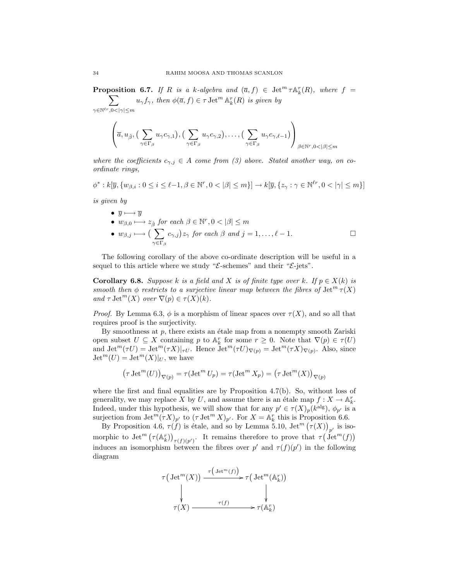**Proposition 6.7.** If R is a k-algebra and  $(\bar{a}, f) \in \text{Jet}^m \tau \mathbb{A}_k^r(R)$ , where  $f =$  $\sum$  $\gamma \in \mathbb{N}^{\ell r}, 0 < |\gamma| \leq m$  $u_{\gamma} f_{\gamma}$ , then  $\phi(\overline{a}, f) \in \tau \operatorname{Jet}^m \mathbb{A}_k^r(R)$  is given by

$$
\left(\overline{a}, u_{\hat{\beta}}, \left(\sum_{\gamma \in \Gamma_{\beta}} u_{\gamma} c_{\gamma,1}\right), \left(\sum_{\gamma \in \Gamma_{\beta}} u_{\gamma} c_{\gamma,2}\right), \ldots, \left(\sum_{\gamma \in \Gamma_{\beta}} u_{\gamma} c_{\gamma,\ell-1}\right)\right)_{\beta \in \mathbb{N}^r, 0 < |\beta| \le m}
$$

where the coefficients  $c_{\gamma,j} \in A$  come from (3) above. Stated another way, on coordinate rings,

 $\phi^*: k[\overline{y}, \{w_{\beta,i}: 0 \le i \le \ell-1, \beta \in \mathbb{N}^r, 0 < |\beta| \le m\}] \to k[\overline{y}, \{z_{\gamma}: \gamma \in \mathbb{N}^{\ell r}, 0 < |\gamma| \le m\}]$ 

is given by

\n- \n
$$
\overline{y} \longmapsto \overline{y}
$$
\n
\n- \n $w_{\beta,0} \longmapsto z_{\hat{\beta}} \text{ for each } \beta \in \mathbb{N}^r, 0 < |\beta| \leq m$ \n
\n- \n $w_{\beta,j} \longmapsto \left( \sum_{\gamma \in \Gamma_{\beta}} c_{\gamma,j} \right) z_{\gamma} \text{ for each } \beta \text{ and } j = 1, \ldots, \ell - 1.$ \n
\n

The following corollary of the above co-ordinate description will be useful in a sequel to this article where we study " $\mathcal{E}\text{-schemes}$ " and their " $\mathcal{E}\text{-jets}$ ".

**Corollary 6.8.** Suppose k is a field and X is of finite type over k. If  $p \in X(k)$  is smooth then  $\phi$  restricts to a surjective linear map between the fibres of  $\mathrm{Jet}^m \tau(X)$ and  $\tau$  Jet<sup>m</sup> $(X)$  over  $\nabla(p) \in \tau(X)(k)$ .

*Proof.* By Lemma 6.3,  $\phi$  is a morphism of linear spaces over  $\tau(X)$ , and so all that requires proof is the surjectivity.

By smoothness at  $p$ , there exists an étale map from a nonempty smooth Zariski open subset  $U \subseteq X$  containing p to  $\mathbb{A}_k^r$  for some  $r \geq 0$ . Note that  $\nabla(p) \in \tau(U)$ and  $\mathrm{Jet}^m(\tau U) = \mathrm{Jet}^m(\tau X)|_{\tau U}$ . Hence  $\mathrm{Jet}^m(\tau U)_{\nabla(p)} = \mathrm{Jet}^m(\tau X)_{\nabla(p)}$ . Also, since  $\mathrm{Jet}^m(U) = \mathrm{Jet}^m(X)|_U$ , we have

$$
(\tau \operatorname{Jet}^m(U))_{\nabla(p)} = \tau (\operatorname{Jet}^m U_p) = \tau (\operatorname{Jet}^m X_p) = (\tau \operatorname{Jet}^m(X))_{\nabla(p)}
$$

where the first and final equalities are by Proposition  $4.7(b)$ . So, without loss of generality, we may replace X by U, and assume there is an étale map  $f: X \to \mathbb{A}_k^r$ . Indeed, under this hypothesis, we will show that for any  $p' \in \tau(X)_p(k^{\text{alg}})$ ,  $\phi_{p'}$  is a surjection from  $\mathrm{Jet}^m(\tau X)_{p'}$  to  $(\tau \mathrm{Jet}^m X)_{p'}$ . For  $X = \mathbb{A}_k^r$  this is Proposition 6.6.

By Proposition 4.6,  $\tau(f)$  is étale, and so by Lemma 5.10, Jet<sup>m</sup>  $(\tau(X))_{p'}$  is isomorphic to Jet<sup>m</sup>  $(\tau(\mathbb{A}_k^r))_{\tau(f)(p')}$ . It remains therefore to prove that  $\tau(\mathcal{A}_k^r)$ induces an isomorphism between the fibres over  $p'$  and  $\tau(f)(p')$  in the following diagram

$$
\tau\left(\text{Jet}^m(X)\right) \xrightarrow{\tau\left(\text{Jet}^m(f)\right)} \tau\left(\text{Jet}^m(\mathbb{A}_k^r)\right)
$$
\n
$$
\downarrow \qquad \qquad \downarrow
$$
\n
$$
\tau(X) \xrightarrow{\tau(f)} \tau(\mathbb{A}_k^r)
$$